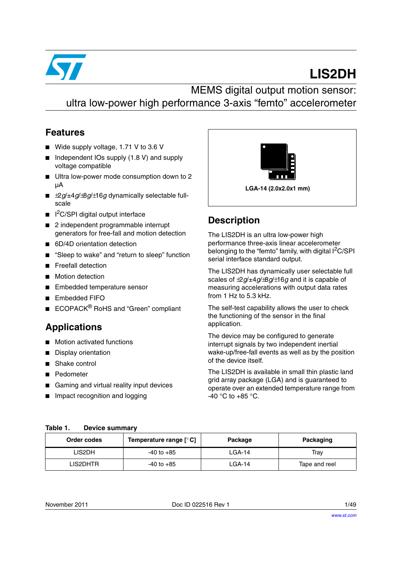

# **LIS2DH**

MEMS digital output motion sensor: ultra low-power high performance 3-axis "femto" accelerometer

### **Features**

- Wide supply voltage, 1.71 V to 3.6 V
- Independent IOs supply (1.8 V) and supply voltage compatible
- Ultra low-power mode consumption down to 2 µA
- $±2g/±4g/±8g/±16g$  dynamically selectable fullscale
- I<sup>2</sup>C/SPI digital output interface
- 2 independent programmable interrupt generators for free-fall and motion detection
- 6D/4D orientation detection
- "Sleep to wake" and "return to sleep" function
- **Freefall detection**
- Motion detection
- Embedded temperature sensor
- Embedded FIFO
- ECOPACK<sup>®</sup> RoHS and "Green" compliant

### **Applications**

- Motion activated functions
- Display orientation
- Shake control
- Pedometer
- Gaming and virtual reality input devices
- Impact recognition and logging



### **Description**

The LIS2DH is an ultra low-power high performance three-axis linear accelerometer belonging to the "femto" family, with digital I<sup>2</sup>C/SPI serial interface standard output.

The LIS2DH has dynamically user selectable full scales of ±2*g*/±4*g*/±8*g*/±16*g* and it is capable of measuring accelerations with output data rates from 1 Hz to 5.3 kHz.

The self-test capability allows the user to check the functioning of the sensor in the final application.

The device may be configured to generate interrupt signals by two independent inertial wake-up/free-fall events as well as by the position of the device itself.

The LIS2DH is available in small thin plastic land grid array package (LGA) and is guaranteed to operate over an extended temperature range from  $-40$  °C to  $+85$  °C.

<span id="page-0-0"></span>

| Table 1. |  | <b>Device summary</b> |
|----------|--|-----------------------|
|----------|--|-----------------------|

| Order codes | Temperature range $\lceil \cdot \cdot \cdot \rceil$ | Package | Packaging     |
|-------------|-----------------------------------------------------|---------|---------------|
| LIS2DH      | $-40$ to $+85$                                      | LGA-14  | Trav          |
| LIS2DHTR    | $-40$ to $+85$                                      | LGA-14  | Tape and reel |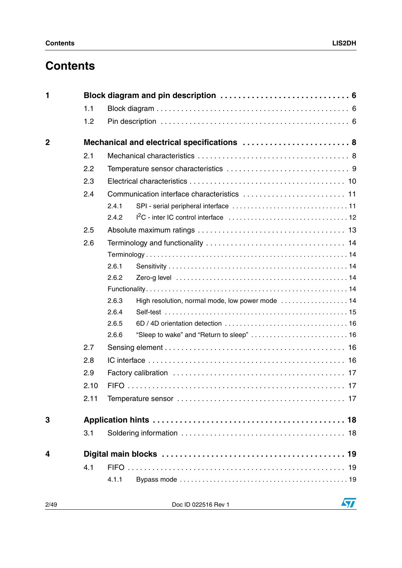# **Contents**

| 1           |      |                                                           |
|-------------|------|-----------------------------------------------------------|
|             | 1.1  |                                                           |
|             | 1.2  |                                                           |
| $\mathbf 2$ |      | Mechanical and electrical specifications  8               |
|             | 2.1  |                                                           |
|             | 2.2  |                                                           |
|             | 2.3  |                                                           |
|             | 2.4  |                                                           |
|             |      | 2.4.1                                                     |
|             |      | 2.4.2                                                     |
|             | 2.5  |                                                           |
|             | 2.6  |                                                           |
|             |      |                                                           |
|             |      | 2.6.1                                                     |
|             |      | 2.6.2                                                     |
|             |      |                                                           |
|             |      | High resolution, normal mode, low power mode  14<br>2.6.3 |
|             |      | 2.6.4                                                     |
|             |      | 2.6.5                                                     |
|             |      | 2.6.6                                                     |
|             | 2.7  |                                                           |
|             | 2.8  |                                                           |
|             | 2.9  |                                                           |
|             | 2.10 |                                                           |
|             | 2.11 |                                                           |
| 3           |      |                                                           |
|             | 3.1  |                                                           |
| 4           |      |                                                           |
|             | 4.1  |                                                           |
|             |      | 4.1.1                                                     |

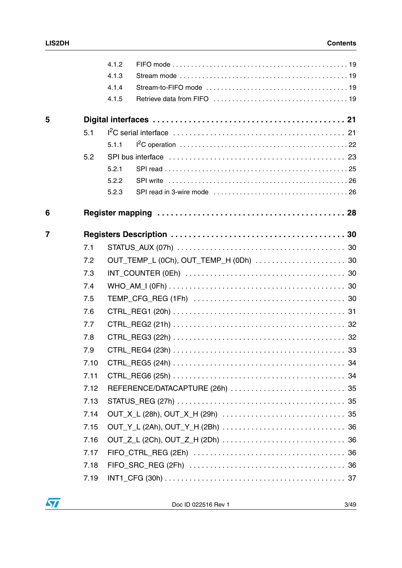|                |      | 4.1.2 |                                        |  |
|----------------|------|-------|----------------------------------------|--|
|                |      | 4.1.3 |                                        |  |
|                |      | 4.1.4 |                                        |  |
|                |      | 4.1.5 |                                        |  |
| 5              |      |       |                                        |  |
|                | 5.1  |       |                                        |  |
|                |      | 5.1.1 |                                        |  |
|                | 5.2  |       |                                        |  |
|                |      | 5.2.1 |                                        |  |
|                |      | 5.2.2 |                                        |  |
|                |      | 5.2.3 |                                        |  |
| 6              |      |       |                                        |  |
| $\overline{7}$ |      |       |                                        |  |
|                | 7.1  |       |                                        |  |
|                | 7.2  |       | OUT_TEMP_L (0Ch), OUT_TEMP_H (0Dh)  30 |  |
|                | 7.3  |       |                                        |  |
|                | 7.4  |       |                                        |  |
|                | 7.5  |       |                                        |  |
|                | 7.6  |       |                                        |  |
|                | 7.7  |       |                                        |  |
|                | 7.8  |       |                                        |  |
|                | 7.9  |       |                                        |  |
|                | 7.10 |       |                                        |  |
|                | 7.11 |       |                                        |  |
|                | 7.12 |       |                                        |  |
|                | 7.13 |       |                                        |  |
|                | 7.14 |       |                                        |  |
|                | 7.15 |       |                                        |  |
|                | 7.16 |       |                                        |  |
|                | 7.17 |       |                                        |  |
|                | 7.18 |       |                                        |  |
|                | 7.19 |       |                                        |  |

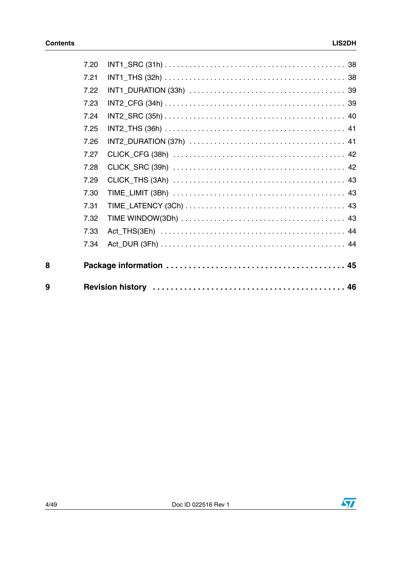| 7.20 |  |
|------|--|
| 7.21 |  |
| 7.22 |  |
| 7.23 |  |
| 7.24 |  |
| 7.25 |  |
| 7.26 |  |
| 7.27 |  |
| 7.28 |  |
| 7.29 |  |
| 7.30 |  |
| 7.31 |  |
| 7.32 |  |
| 7.33 |  |
| 7.34 |  |
|      |  |
|      |  |
|      |  |

 $\bf{8}$ 

 $\overline{9}$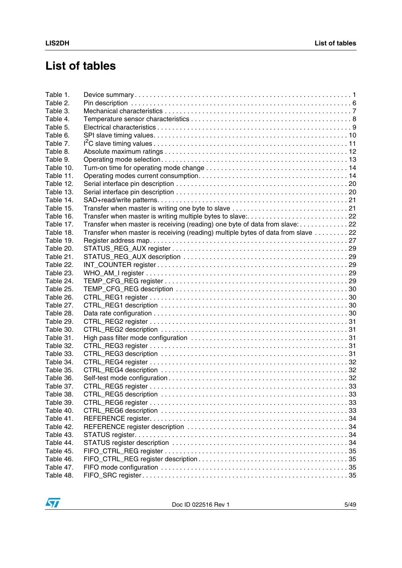# **List of tables**

| Table 1.  |                                                                                  |  |
|-----------|----------------------------------------------------------------------------------|--|
| Table 2.  |                                                                                  |  |
| Table 3.  |                                                                                  |  |
| Table 4.  |                                                                                  |  |
| Table 5.  |                                                                                  |  |
| Table 6.  |                                                                                  |  |
| Table 7.  |                                                                                  |  |
| Table 8.  |                                                                                  |  |
| Table 9.  |                                                                                  |  |
| Table 10. |                                                                                  |  |
| Table 11. |                                                                                  |  |
| Table 12. |                                                                                  |  |
| Table 13. |                                                                                  |  |
| Table 14. |                                                                                  |  |
| Table 15. |                                                                                  |  |
| Table 16. | Transfer when master is writing multiple bytes to slave:22                       |  |
| Table 17. | Transfer when master is receiving (reading) one byte of data from slave: 22      |  |
| Table 18. | Transfer when master is receiving (reading) multiple bytes of data from slave 22 |  |
| Table 19. |                                                                                  |  |
| Table 20. |                                                                                  |  |
| Table 21. |                                                                                  |  |
| Table 22. |                                                                                  |  |
| Table 23. |                                                                                  |  |
| Table 24. |                                                                                  |  |
| Table 25. |                                                                                  |  |
| Table 26. |                                                                                  |  |
| Table 27. |                                                                                  |  |
| Table 28. |                                                                                  |  |
| Table 29. |                                                                                  |  |
| Table 30. |                                                                                  |  |
| Table 31. |                                                                                  |  |
| Table 32. |                                                                                  |  |
| Table 33. |                                                                                  |  |
| Table 34. |                                                                                  |  |
| Table 35. |                                                                                  |  |
| Table 36. |                                                                                  |  |
| Table 37. |                                                                                  |  |
| Table 38. |                                                                                  |  |
| Table 39. |                                                                                  |  |
| Table 40. |                                                                                  |  |
| Table 41. |                                                                                  |  |
| Table 42. |                                                                                  |  |
| Table 43. |                                                                                  |  |
| Table 44. |                                                                                  |  |
| Table 45. |                                                                                  |  |
| Table 46. |                                                                                  |  |
| Table 47. |                                                                                  |  |
| Table 48. |                                                                                  |  |

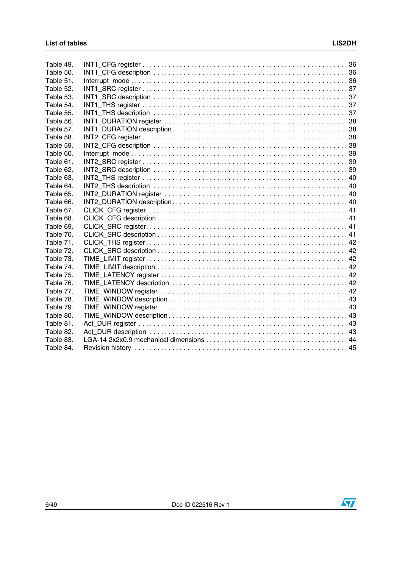| Table 49. |  |
|-----------|--|
| Table 50. |  |
| Table 51. |  |
| Table 52. |  |
| Table 53. |  |
| Table 54. |  |
| Table 55. |  |
| Table 56. |  |
| Table 57. |  |
| Table 58. |  |
| Table 59. |  |
| Table 60. |  |
| Table 61. |  |
| Table 62. |  |
| Table 63. |  |
| Table 64. |  |
| Table 65. |  |
| Table 66. |  |
| Table 67. |  |
| Table 68. |  |
| Table 69. |  |
| Table 70. |  |
| Table 71. |  |
| Table 72. |  |
| Table 73. |  |
| Table 74. |  |
| Table 75. |  |
| Table 76. |  |
| Table 77. |  |
| Table 78. |  |
| Table 79. |  |
| Table 80. |  |
| Table 81. |  |
| Table 82. |  |
| Table 83. |  |
| Table 84. |  |

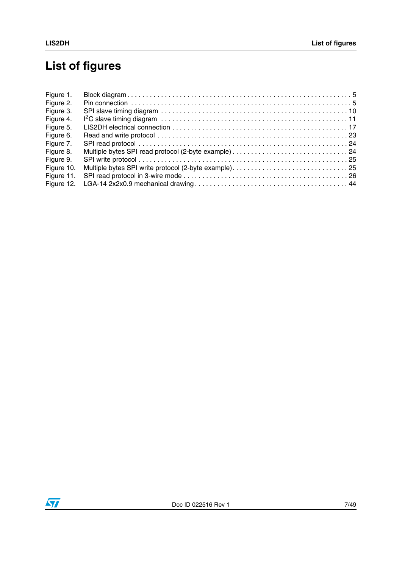# **List of figures**

| Figure 1.  |  |
|------------|--|
| Figure 2.  |  |
| Figure 3.  |  |
| Figure 4.  |  |
| Figure 5.  |  |
| Figure 6.  |  |
| Figure 7.  |  |
| Figure 8.  |  |
| Figure 9.  |  |
| Figure 10. |  |
| Figure 11. |  |
| Figure 12. |  |

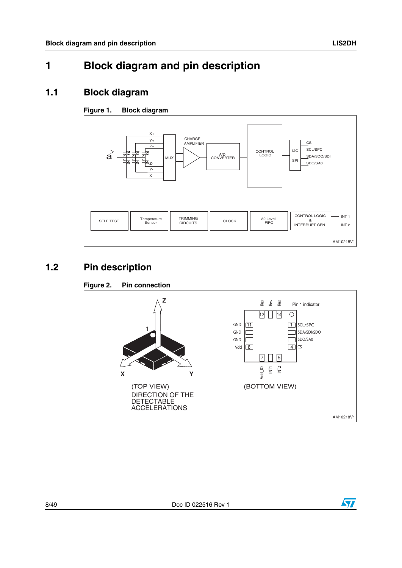# <span id="page-7-0"></span>**1 Block diagram and pin description**

### <span id="page-7-1"></span>**1.1 Block diagram**

### <span id="page-7-3"></span>**Figure 1. Block diagram**



### <span id="page-7-2"></span>**1.2 Pin description**

<span id="page-7-4"></span>



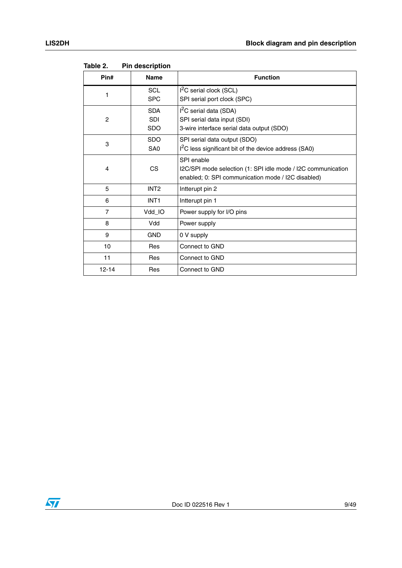| Pin#           | <b>Name</b>                            | <b>Function</b>                                                                                                                  |  |
|----------------|----------------------------------------|----------------------------------------------------------------------------------------------------------------------------------|--|
| 1              | <b>SCL</b><br><b>SPC</b>               | $I2C$ serial clock (SCL)<br>SPI serial port clock (SPC)                                                                          |  |
| $\overline{2}$ | <b>SDA</b><br><b>SDI</b><br><b>SDO</b> | $I2C$ serial data (SDA)<br>SPI serial data input (SDI)<br>3-wire interface serial data output (SDO)                              |  |
| 3              | <b>SDO</b><br>SA <sub>0</sub>          | SPI serial data output (SDO)<br>I <sup>2</sup> C less significant bit of the device address (SA0)                                |  |
| 4              | CS                                     | SPI enable<br>I2C/SPI mode selection (1: SPI idle mode / I2C communication<br>enabled; 0: SPI communication mode / I2C disabled) |  |
| 5              | INT <sub>2</sub>                       | Intterupt pin 2                                                                                                                  |  |
| 6              | INT <sub>1</sub>                       | Intterupt pin 1                                                                                                                  |  |
| $\overline{7}$ | Vdd_IO                                 | Power supply for I/O pins                                                                                                        |  |
| 8              | Vdd                                    | Power supply                                                                                                                     |  |
| 9              | <b>GND</b>                             | 0 V supply                                                                                                                       |  |
| 10             | <b>Res</b>                             | Connect to GND                                                                                                                   |  |
| 11             | Res                                    | Connect to GND                                                                                                                   |  |
| $12 - 14$      | Res                                    | Connect to GND                                                                                                                   |  |

<span id="page-8-0"></span>Table 2. **Pin description** 

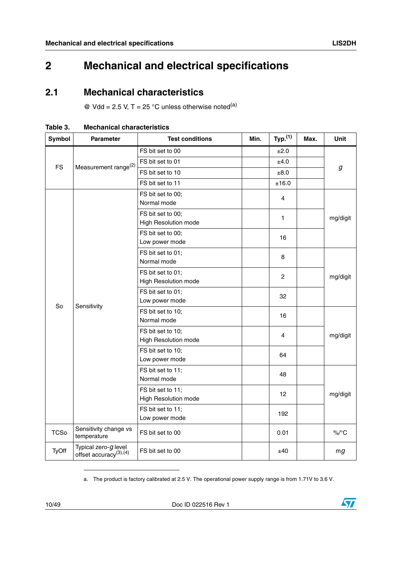# <span id="page-9-0"></span>**2 Mechanical and electrical specifications**

### <span id="page-9-1"></span>**2.1 Mechanical characteristics**

 $\textcircled{e}$  Vdd = 2.5 V, T = 25 °C unless otherwise noted<sup>(a)</sup>

| <b>Symbol</b> | <b>Parameter</b>                                              | <b>Test conditions</b>                           | Min. | Typ. <sup>(1)</sup> | Max. | Unit     |
|---------------|---------------------------------------------------------------|--------------------------------------------------|------|---------------------|------|----------|
|               |                                                               | FS bit set to 00                                 |      | ±2.0                |      |          |
| <b>FS</b>     |                                                               | FS bit set to 01                                 |      | ±4.0                |      |          |
|               | Measurement range <sup>(2)</sup>                              | FS bit set to 10                                 |      | ±8.0                |      | g        |
|               |                                                               | FS bit set to 11                                 |      | ±16.0               |      |          |
|               |                                                               | FS bit set to 00;<br>Normal mode                 |      | 4                   |      |          |
|               |                                                               | FS bit set to 00;<br><b>High Resolution mode</b> |      | 1                   |      | mg/digit |
|               |                                                               | FS bit set to 00;<br>Low power mode              |      | 16                  |      |          |
|               |                                                               | FS bit set to 01;<br>Normal mode                 |      | 8<br>$\overline{c}$ |      |          |
|               |                                                               | FS bit set to 01;<br><b>High Resolution mode</b> |      |                     |      | mg/digit |
| So            |                                                               | FS bit set to 01;<br>Low power mode              | 32   |                     |      |          |
|               | Sensitivity                                                   | FS bit set to 10;<br>Normal mode                 |      | 16                  |      |          |
|               |                                                               | FS bit set to 10;<br><b>High Resolution mode</b> |      | 4                   |      | mg/digit |
|               |                                                               | FS bit set to 10;<br>Low power mode              |      | 64                  |      |          |
|               |                                                               | FS bit set to 11;<br>Normal mode                 |      | 48                  |      |          |
|               |                                                               | FS bit set to 11;<br><b>High Resolution mode</b> |      | 12                  |      | mg/digit |
|               |                                                               | FS bit set to 11;<br>Low power mode              |      | 192                 |      |          |
| <b>TCSo</b>   | Sensitivity change vs<br>temperature                          | FS bit set to 00                                 |      | 0.01                |      | $\%$ /°C |
| TyOff         | Typical zero- $g$ level<br>offset accuracy <sup>(3),(4)</sup> | FS bit set to 00                                 |      | ±40                 |      | mg       |

<span id="page-9-2"></span>**Table 3. Mechanical characteristics**

a. The product is factory calibrated at 2.5 V. The operational power supply range is from 1.71V to 3.6 V.

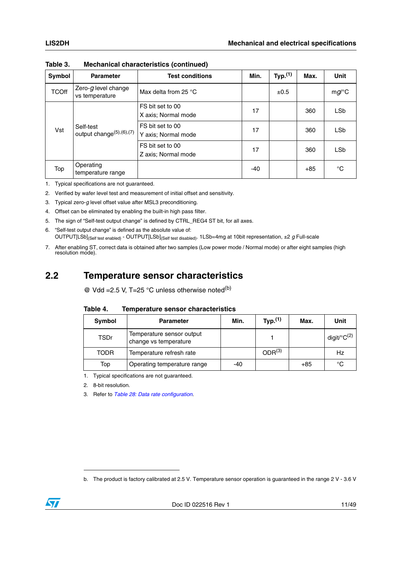| Symbol       | <b>Parameter</b>                                   | <b>Test conditions</b>                  | Min. | Typ. $(1)$ | Max.  | <b>Unit</b> |
|--------------|----------------------------------------------------|-----------------------------------------|------|------------|-------|-------------|
| <b>TCOff</b> | Zero- $g$ level change<br>vs temperature           | Max delta from 25 $\degree$ C           |      | ±0.5       |       | $mg$ /°C    |
|              |                                                    | FS bit set to 00<br>X axis; Normal mode | 17   |            | 360   | <b>LSb</b>  |
| Vst          | Self-test<br>output change <sup>(5)</sup> ,(6),(7) | FS bit set to 00<br>Y axis; Normal mode | 17   |            | 360   | <b>LSb</b>  |
|              |                                                    | FS bit set to 00<br>Z axis; Normal mode | 17   |            | 360   | <b>LSb</b>  |
| Top          | Operating<br>temperature range                     |                                         | -40  |            | $+85$ | °C          |

**Table 3. Mechanical characteristics (continued)**

1. Typical specifications are not guaranteed.

2. Verified by wafer level test and measurement of initial offset and sensitivity.

3. Typical zero-*g* level offset value after MSL3 preconditioning.

- 4. Offset can be eliminated by enabling the built-in high pass filter.
- 5. The sign of "Self-test output change" is defined by CTRL\_REG4 ST bit, for all axes.

6. "Self-test output change" is defined as the absolute value of: OUTPUT[LSb](Self test enabled) - OUTPUT[LSb](Self test disabled). 1LSb=4mg at 10bit representation, ±2 *g* Full-scale

7. After enabling ST, correct data is obtained after two samples (Low power mode / Normal mode) or after eight samples (high resolution mode).

### <span id="page-10-0"></span>**2.2 Temperature sensor characteristics**

 $\textcircled{a}$  Vdd = 2.5 V, T=25 °C unless otherwise noted<sup>(b)</sup>

<span id="page-10-1"></span>

| Table 4. |  |  | <b>Temperature sensor characteristics</b> |
|----------|--|--|-------------------------------------------|
|----------|--|--|-------------------------------------------|

| Symbol      | <b>Parameter</b>                                   | Min.  | Typ. <sup>(1)</sup> | Max.  | Unit                       |
|-------------|----------------------------------------------------|-------|---------------------|-------|----------------------------|
| TSDr        | Temperature sensor output<br>change vs temperature |       |                     |       | digit/ ${}^{\circ}C^{(2)}$ |
| <b>TODR</b> | Temperature refresh rate                           |       | ODR <sup>(3)</sup>  |       | Hz                         |
| Top         | Operating temperature range                        | $-40$ |                     | $+85$ | °C                         |

1. Typical specifications are not guaranteed.

2. 8-bit resolution.

3. Refer to *[Table 28: Data rate configuration](#page-32-4)*.

b. The product is factory calibrated at 2.5 V. Temperature sensor operation is guaranteed in the range 2 V - 3.6 V

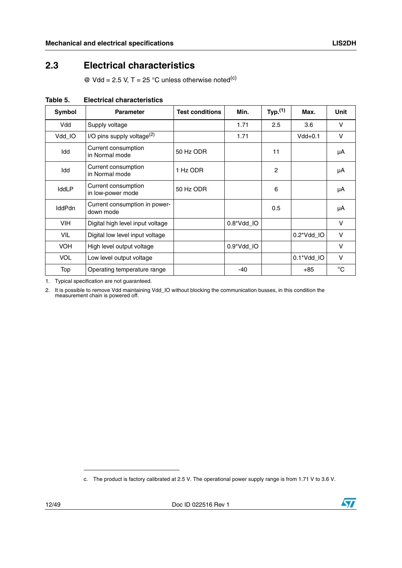### <span id="page-11-0"></span>**2.3 Electrical characteristics**

 $\textcircled{e}$  Vdd = 2.5 V, T = 25 °C unless otherwise noted<sup>(c)</sup>

| Symbol        | <b>Parameter</b>                           | <b>Test conditions</b> | Min.       | Typ. <sup>(1)</sup> | Max.                | Unit         |
|---------------|--------------------------------------------|------------------------|------------|---------------------|---------------------|--------------|
| Vdd           | Supply voltage                             |                        | 1.71       | 2.5                 | 3.6                 | v            |
| Vdd IO        | I/O pins supply voltage $^{(2)}$           |                        | 1.71       |                     | $Vdd+0.1$           | v            |
| Idd           | Current consumption<br>in Normal mode      | 50 Hz ODR              |            | 11                  |                     | μA           |
| Idd           | Current consumption<br>in Normal mode      | 1 Hz ODR               |            | $\mathcal{P}$       |                     | μA           |
| IddLP         | Current consumption<br>in low-power mode   | 50 Hz ODR              |            | 6                   |                     | μA           |
| <b>IddPdn</b> | Current consumption in power-<br>down mode |                        |            | 0.5                 |                     | μA           |
| <b>VIH</b>    | Digital high level input voltage           |                        | 0.8*Vdd_IO |                     |                     | $\vee$       |
| VIL           | Digital low level input voltage            |                        |            |                     | $0.2^{\ast}$ Vdd IO | V            |
| <b>VOH</b>    | High level output voltage                  |                        | 0.9*Vdd_IO |                     |                     | v            |
| <b>VOL</b>    | Low level output voltage                   |                        |            |                     | 0.1*Vdd_IO          | V            |
| Top           | Operating temperature range                |                        | -40        |                     | $+85$               | $^{\circ}$ C |

<span id="page-11-1"></span>**Table 5. Electrical characteristics**

1. Typical specification are not guaranteed.

2. It is possible to remove Vdd maintaining Vdd\_IO without blocking the communication busses, in this condition the measurement chain is powered off.

c. The product is factory calibrated at 2.5 V. The operational power supply range is from 1.71 V to 3.6 V.

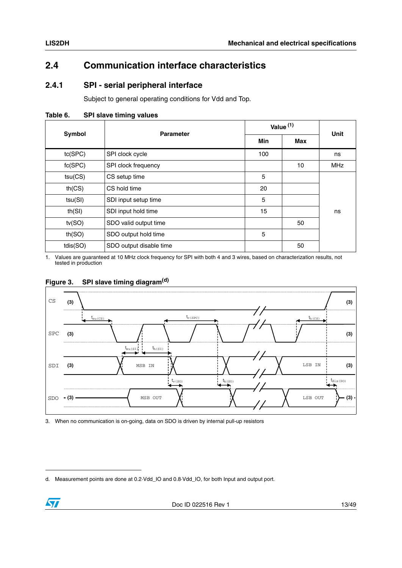### <span id="page-12-0"></span>**2.4 Communication interface characteristics**

### <span id="page-12-1"></span>**2.4.1 SPI - serial peripheral interface**

Subject to general operating conditions for Vdd and Top.

<span id="page-12-2"></span>**Table 6. SPI slave timing values**

| <b>Symbol</b>                   | <b>Parameter</b>        | Value <sup>(1)</sup> |     | <b>Unit</b> |
|---------------------------------|-------------------------|----------------------|-----|-------------|
|                                 |                         | <b>Min</b>           | Max |             |
| tc(SPC)                         | SPI clock cycle         | 100                  |     | ns          |
| fc(SPC)                         | SPI clock frequency     |                      | 10  | <b>MHz</b>  |
| tsu(CS)                         | CS setup time           | 5                    |     |             |
| th(CS)                          | CS hold time            | 20                   |     |             |
| tsu(SI)                         | SDI input setup time    |                      |     |             |
| th(SI)                          | SDI input hold time     |                      |     | ns          |
| tv(SO)<br>SDO valid output time |                         |                      | 50  |             |
| th(SO)<br>SDO output hold time  |                         | 5                    |     |             |
| tdis(SO)                        | SDO output disable time |                      | 50  |             |

1. Values are guaranteed at 10 MHz clock frequency for SPI with both 4 and 3 wires, based on characterization results, not tested in production

<span id="page-12-3"></span>



<sup>3.</sup> When no communication is on-going, data on SDO is driven by internal pull-up resistors

d. Measurement points are done at 0.2·Vdd\_IO and 0.8·Vdd\_IO, for both Input and output port.

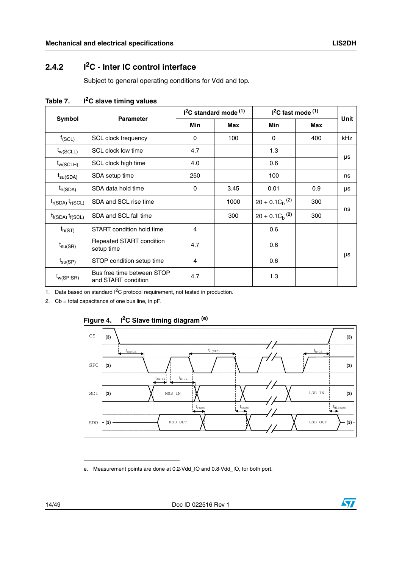### <span id="page-13-0"></span>**2.4.2 I2C - Inter IC control interface**

Subject to general operating conditions for Vdd and top.

| Symbol                  | <b>Parameter</b>                                  | $12C$ standard mode $(1)$ |            | $12C$ fast mode $(1)$ |            | <b>Unit</b> |
|-------------------------|---------------------------------------------------|---------------------------|------------|-----------------------|------------|-------------|
|                         |                                                   | <b>Min</b>                | <b>Max</b> | <b>Min</b>            | <b>Max</b> |             |
| $f_{(SCL)}$             | SCL clock frequency                               | 0                         | 100        | 0                     | 400        | kHz         |
| $t_{w(SCLL)}$           | SCL clock low time                                | 4.7                       |            | 1.3                   |            |             |
| $t_{w(SCLH)}$           | SCL clock high time                               | 4.0                       |            | 0.6                   |            | μs          |
| $t_{\text{su(SDA)}}$    | SDA setup time                                    | 250                       |            | 100                   |            | ns          |
| $t_{h(SDA)}$            | SDA data hold time                                | $\Omega$                  | 3.45       | 0.01                  | 0.9        | μs          |
| $t_{r(SDA)} t_{r(SCL)}$ | SDA and SCL rise time                             |                           | 1000       | $20 + 0.1 C_h^{(2)}$  | 300        |             |
| $t_{f(SDA)} t_{f(SCL)}$ | SDA and SCL fall time                             |                           | 300        | $20 + 0.1 C_h^{(2)}$  | 300        | ns          |
| $t_{h(ST)}$             | START condition hold time                         | 4                         |            | 0.6                   |            |             |
| $t_{\text{SU(SR)}}$     | Repeated START condition<br>setup time            | 4.7                       |            | 0.6                   |            |             |
| $t_{\text{su(SP)}}$     | STOP condition setup time                         | 4                         |            | 0.6                   |            | μs          |
| $t_{w(SP:SR)}$          | Bus free time between STOP<br>and START condition | 4.7                       |            | 1.3                   |            |             |

<span id="page-13-1"></span>Table 7. **I<sup>2</sup>C slave timing values** 

1. Data based on standard  $1^2C$  protocol requirement, not tested in production.

2.  $Cb = total capacitance of one bus line, in pF.$ 



#### <span id="page-13-2"></span>**Figure 4. I2C Slave timing diagram (e)**

e. Measurement points are done at 0.2·Vdd\_IO and 0.8·Vdd\_IO, for both port.

14/49 Doc ID 022516 Rev 1

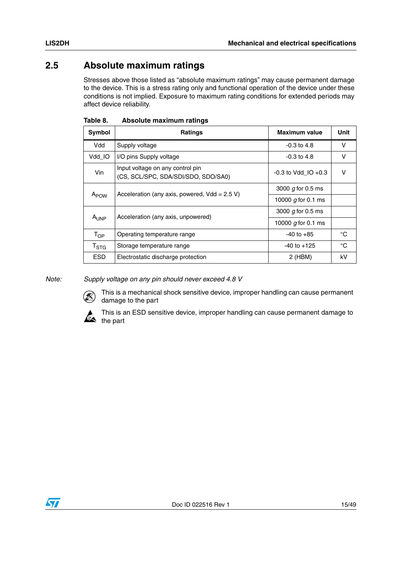### <span id="page-14-0"></span>**2.5 Absolute maximum ratings**

Stresses above those listed as "absolute maximum ratings" may cause permanent damage to the device. This is a stress rating only and functional operation of the device under these conditions is not implied. Exposure to maximum rating conditions for extended periods may affect device reliability.

| Symbol             | <b>Ratings</b>                                                          | Maximum value           | Unit   |
|--------------------|-------------------------------------------------------------------------|-------------------------|--------|
| Vdd                | Supply voltage                                                          | $-0.3$ to 4.8           | $\vee$ |
| Vdd IO             | I/O pins Supply voltage                                                 | $-0.3$ to 4.8           | v      |
| Vin                | Input voltage on any control pin<br>(CS, SCL/SPC, SDA/SDI/SDO, SDO/SA0) | $-0.3$ to Vdd IO $+0.3$ | v      |
|                    | Acceleration (any axis, powered, $Vdd = 2.5 V$ )                        | 3000 $g$ for 0.5 ms     |        |
| A <sub>POW</sub>   |                                                                         | 10000 $g$ for 0.1 ms    |        |
|                    | Acceleration (any axis, unpowered)                                      | 3000 $g$ for 0.5 ms     |        |
| AUNP               |                                                                         | 10000 $g$ for 0.1 ms    |        |
| $T_{OP}$           | Operating temperature range                                             | $-40$ to $+85$          | °C     |
| $T_{\mathrm{STG}}$ | Storage temperature range                                               | $-40$ to $+125$         | °C     |
| <b>ESD</b>         | Electrostatic discharge protection                                      | 2 (HBM)                 | kV     |

<span id="page-14-1"></span>

| Table 8. | Absolute maximum ratings |  |
|----------|--------------------------|--|
|          |                          |  |

*Note: Supply voltage on any pin should never exceed 4.8 V*



This is a mechanical shock sensitive device, improper handling can cause permanent damage to the part

This is an ESD sensitive device, improper handling can cause permanent damage to the part

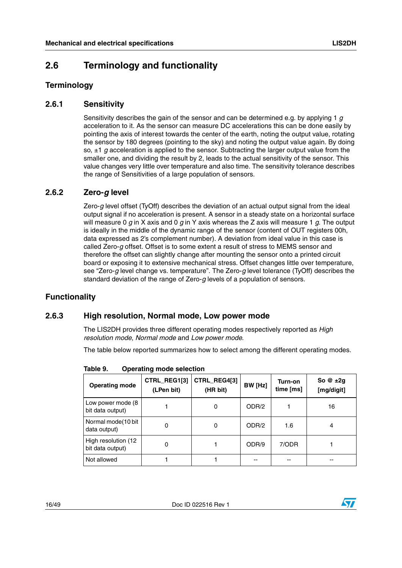### <span id="page-15-0"></span>**2.6 Terminology and functionality**

#### <span id="page-15-1"></span>**Terminology**

#### <span id="page-15-2"></span>**2.6.1 Sensitivity**

Sensitivity describes the gain of the sensor and can be determined e.g. by applying 1 *g* acceleration to it. As the sensor can measure DC accelerations this can be done easily by pointing the axis of interest towards the center of the earth, noting the output value, rotating the sensor by 180 degrees (pointing to the sky) and noting the output value again. By doing so, ±1 *g* acceleration is applied to the sensor. Subtracting the larger output value from the smaller one, and dividing the result by 2, leads to the actual sensitivity of the sensor. This value changes very little over temperature and also time. The sensitivity tolerance describes the range of Sensitivities of a large population of sensors.

#### <span id="page-15-3"></span>**2.6.2 Zero-***g* **level**

Zero-*g* level offset (TyOff) describes the deviation of an actual output signal from the ideal output signal if no acceleration is present. A sensor in a steady state on a horizontal surface will measure 0 *g* in X axis and 0 *g* in Y axis whereas the Z axis will measure 1 *g*. The output is ideally in the middle of the dynamic range of the sensor (content of OUT registers 00h, data expressed as 2's complement number). A deviation from ideal value in this case is called Zero-*g* offset. Offset is to some extent a result of stress to MEMS sensor and therefore the offset can slightly change after mounting the sensor onto a printed circuit board or exposing it to extensive mechanical stress. Offset changes little over temperature, see "Zero-*g* level change vs. temperature". The Zero-*g* level tolerance (TyOff) describes the standard deviation of the range of Zero-*g* levels of a population of sensors.

#### <span id="page-15-4"></span>**Functionality**

#### <span id="page-15-5"></span>**2.6.3 High resolution, Normal mode, Low power mode**

The LIS2DH provides three different operating modes respectively reported as *High resolution mode*, *Normal mode* and *Low power mode*.

The table below reported summarizes how to select among the different operating modes.

**Operating mode CTRL\_REG1[3] (LPen bit) CTRL\_REG4[3] (HR bit) BW [Hz] Turn-on time [ms] So @ ±2g [mg/digit]** Low power mode (8 bit data output) 1 0 ODR/2 1 16 Normal mode(10 bit data output) 0 0 ODR/2 1.6 4 High resolution (12 bit data output) 0 1 0 0DR/9 7/ODR 1 bit data output) 1  $\text{Not allowed}$  1 1 1 --  $\frac{1}{2}$  --

<span id="page-15-6"></span>**Table 9. Operating mode selection**

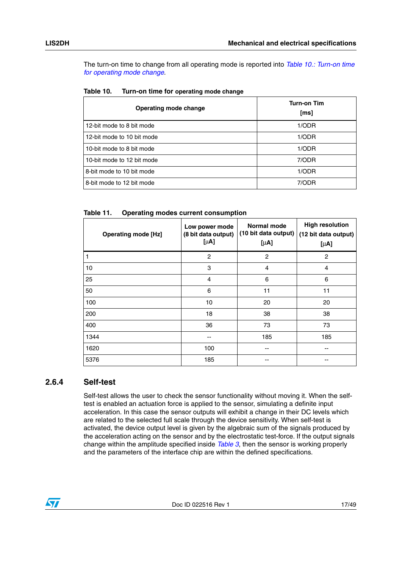The turn-on time to change from all operating mode is reported into *[Table 10.: Turn-on time](#page-16-1)  [for operating mode change](#page-16-1)*.

| Operating mode change      | <b>Turn-on Tim</b><br>$\lceil ms \rceil$ |
|----------------------------|------------------------------------------|
| 12-bit mode to 8 bit mode  | 1/ODR                                    |
| 12-bit mode to 10 bit mode | 1/ODR                                    |
| 10-bit mode to 8 bit mode  | 1/ODR                                    |
| 10-bit mode to 12 bit mode | 7/ODR                                    |
| 8-bit mode to 10 bit mode  | 1/ODR                                    |
| 8-bit mode to 12 bit mode  | 7/ODR                                    |

<span id="page-16-1"></span>

| Table 10. | Turn-on time for operating mode change |
|-----------|----------------------------------------|
|-----------|----------------------------------------|

<span id="page-16-2"></span>

| Table 11. | <b>Operating modes current consumption</b> |
|-----------|--------------------------------------------|
|-----------|--------------------------------------------|

| <b>Operating mode [Hz]</b> | Low power mode<br>(8 bit data output)<br>$[\mu A]$ | <b>Normal mode</b><br>(10 bit data output)<br>$[\mu A]$ | <b>High resolution</b><br>(12 bit data output)<br>$[\mu A]$ |
|----------------------------|----------------------------------------------------|---------------------------------------------------------|-------------------------------------------------------------|
| 1                          | $\overline{c}$                                     | 2                                                       | 2                                                           |
| 10                         | 3                                                  | 4                                                       | $\overline{4}$                                              |
| 25                         | $\overline{4}$                                     | 6                                                       | 6                                                           |
| 50                         | 6                                                  | 11                                                      | 11                                                          |
| 100                        | 10                                                 | 20                                                      | 20                                                          |
| 200                        | 18                                                 | 38                                                      | 38                                                          |
| 400                        | 36                                                 | 73                                                      | 73                                                          |
| 1344                       |                                                    | 185                                                     | 185                                                         |
| 1620                       | 100                                                |                                                         | --                                                          |
| 5376                       | 185                                                |                                                         | --                                                          |

#### <span id="page-16-0"></span>**2.6.4 Self-test**

Self-test allows the user to check the sensor functionality without moving it. When the selftest is enabled an actuation force is applied to the sensor, simulating a definite input acceleration. In this case the sensor outputs will exhibit a change in their DC levels which are related to the selected full scale through the device sensitivity. When self-test is activated, the device output level is given by the algebraic sum of the signals produced by the acceleration acting on the sensor and by the electrostatic test-force. If the output signals change within the amplitude specified inside *[Table 3](#page-9-2)*, then the sensor is working properly and the parameters of the interface chip are within the defined specifications.

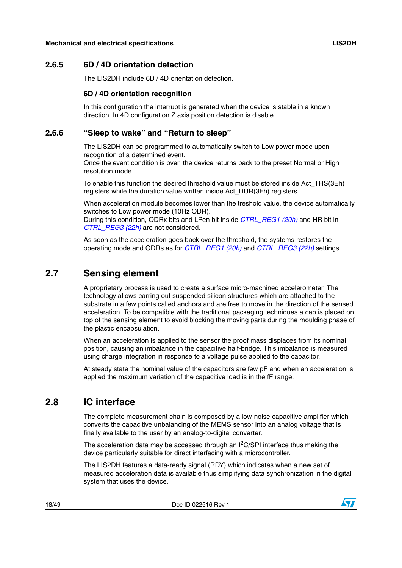#### <span id="page-17-0"></span>**2.6.5 6D / 4D orientation detection**

The LIS2DH include 6D / 4D orientation detection.

#### **6D / 4D orientation recognition**

In this configuration the interrupt is generated when the device is stable in a known direction. In 4D configuration Z axis position detection is disable.

#### <span id="page-17-1"></span>**2.6.6 "Sleep to wake" and "Return to sleep"**

The LIS2DH can be programmed to automatically switch to Low power mode upon recognition of a determined event.

Once the event condition is over, the device returns back to the preset Normal or High resolution mode.

To enable this function the desired threshold value must be stored inside Act\_THS(3Eh) registers while the duration value written inside Act\_DUR(3Fh) registers.

When acceleration module becomes lower than the treshold value, the device automatically switches to Low power mode (10Hz ODR).

During this condition, ODRx bits and LPen bit inside *[CTRL\\_REG1 \(20h\)](#page-32-0)* and HR bit in *[CTRL\\_REG3 \(22h\)](#page-33-1)* are not considered.

As soon as the acceleration goes back over the threshold, the systems restores the operating mode and ODRs as for *[CTRL\\_REG1 \(20h\)](#page-32-0)* and *[CTRL\\_REG3 \(22h\)](#page-33-1)* settings.

### <span id="page-17-2"></span>**2.7 Sensing element**

A proprietary process is used to create a surface micro-machined accelerometer. The technology allows carring out suspended silicon structures which are attached to the substrate in a few points called anchors and are free to move in the direction of the sensed acceleration. To be compatible with the traditional packaging techniques a cap is placed on top of the sensing element to avoid blocking the moving parts during the moulding phase of the plastic encapsulation.

When an acceleration is applied to the sensor the proof mass displaces from its nominal position, causing an imbalance in the capacitive half-bridge. This imbalance is measured using charge integration in response to a voltage pulse applied to the capacitor.

At steady state the nominal value of the capacitors are few pF and when an acceleration is applied the maximum variation of the capacitive load is in the fF range.

### <span id="page-17-3"></span>**2.8 IC interface**

The complete measurement chain is composed by a low-noise capacitive amplifier which converts the capacitive unbalancing of the MEMS sensor into an analog voltage that is finally available to the user by an analog-to-digital converter.

The acceleration data may be accessed through an  ${}^{12}C/SPI$  interface thus making the device particularly suitable for direct interfacing with a microcontroller.

The LIS2DH features a data-ready signal (RDY) which indicates when a new set of measured acceleration data is available thus simplifying data synchronization in the digital system that uses the device.

18/49 Doc ID 022516 Rev 1

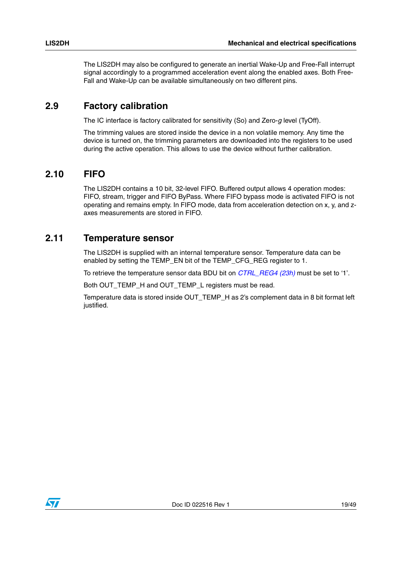The LIS2DH may also be configured to generate an inertial Wake-Up and Free-Fall interrupt signal accordingly to a programmed acceleration event along the enabled axes. Both Free-Fall and Wake-Up can be available simultaneously on two different pins.

### <span id="page-18-0"></span>**2.9 Factory calibration**

The IC interface is factory calibrated for sensitivity (So) and Zero-*g* level (TyOff).

The trimming values are stored inside the device in a non volatile memory. Any time the device is turned on, the trimming parameters are downloaded into the registers to be used during the active operation. This allows to use the device without further calibration.

### <span id="page-18-1"></span>**2.10 FIFO**

The LIS2DH contains a 10 bit, 32-level FIFO. Buffered output allows 4 operation modes: FIFO, stream, trigger and FIFO ByPass. Where FIFO bypass mode is activated FIFO is not operating and remains empty. In FIFO mode, data from acceleration detection on x, y, and zaxes measurements are stored in FIFO.

### <span id="page-18-2"></span>**2.11 Temperature sensor**

The LIS2DH is supplied with an internal temperature sensor. Temperature data can be enabled by setting the TEMP\_EN bit of the TEMP\_CFG\_REG register to 1.

To retrieve the temperature sensor data BDU bit on *CTRL\_REG4 (23h)* must be set to '1'.

Both OUT\_TEMP\_H and OUT\_TEMP\_L registers must be read.

Temperature data is stored inside OUT\_TEMP\_H as 2's complement data in 8 bit format left justified.

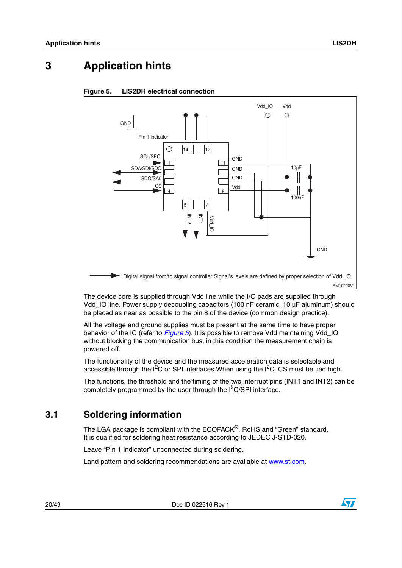# <span id="page-19-0"></span>**3 Application hints**



#### <span id="page-19-2"></span>**Figure 5. LIS2DH electrical connection**

The device core is supplied through Vdd line while the I/O pads are supplied through Vdd\_IO line. Power supply decoupling capacitors (100 nF ceramic, 10 µF aluminum) should be placed as near as possible to the pin 8 of the device (common design practice).

All the voltage and ground supplies must be present at the same time to have proper behavior of the IC (refer to *[Figure 5](#page-19-2)*). It is possible to remove Vdd maintaining Vdd\_IO without blocking the communication bus, in this condition the measurement chain is powered off.

The functionality of the device and the measured acceleration data is selectable and accessible through the  $I^2C$  or SPI interfaces. When using the  $I^2C$ , CS must be tied high.

The functions, the threshold and the timing of the two interrupt pins (INT1 and INT2) can be completely programmed by the user through the  $I^2C/SPI$  interface.

### <span id="page-19-1"></span>**3.1 Soldering information**

The LGA package is compliant with the ECOPACK®, RoHS and "Green" standard. It is qualified for soldering heat resistance according to JEDEC J-STD-020.

Leave "Pin 1 Indicator" unconnected during soldering.

Land pattern and soldering recommendations are available at www.st.com.

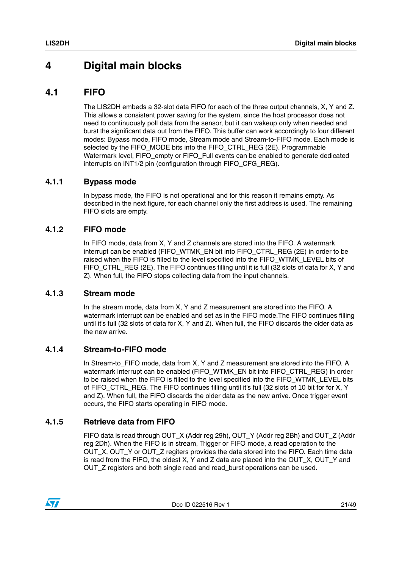## <span id="page-20-0"></span>**4 Digital main blocks**

### <span id="page-20-1"></span>**4.1 FIFO**

The LIS2DH embeds a 32-slot data FIFO for each of the three output channels, X, Y and Z. This allows a consistent power saving for the system, since the host processor does not need to continuously poll data from the sensor, but it can wakeup only when needed and burst the significant data out from the FIFO. This buffer can work accordingly to four different modes: Bypass mode, FIFO mode, Stream mode and Stream-to-FIFO mode. Each mode is selected by the FIFO\_MODE bits into the FIFO\_CTRL\_REG (2E). Programmable Watermark level, FIFO\_empty or FIFO\_Full events can be enabled to generate dedicated interrupts on INT1/2 pin (configuration through FIFO\_CFG\_REG).

#### <span id="page-20-2"></span>**4.1.1 Bypass mode**

In bypass mode, the FIFO is not operational and for this reason it remains empty. As described in the next figure, for each channel only the first address is used. The remaining FIFO slots are empty.

#### <span id="page-20-3"></span>**4.1.2 FIFO mode**

In FIFO mode, data from X, Y and Z channels are stored into the FIFO. A watermark interrupt can be enabled (FIFO\_WTMK\_EN bit into FIFO\_CTRL\_REG (2E) in order to be raised when the FIFO is filled to the level specified into the FIFO\_WTMK\_LEVEL bits of FIFO\_CTRL\_REG (2E). The FIFO continues filling until it is full (32 slots of data for X, Y and Z). When full, the FIFO stops collecting data from the input channels.

#### <span id="page-20-4"></span>**4.1.3 Stream mode**

In the stream mode, data from X, Y and Z measurement are stored into the FIFO. A watermark interrupt can be enabled and set as in the FIFO mode.The FIFO continues filling until it's full (32 slots of data for X, Y and Z). When full, the FIFO discards the older data as the new arrive.

#### <span id="page-20-5"></span>**4.1.4 Stream-to-FIFO mode**

In Stream-to\_FIFO mode, data from X, Y and Z measurement are stored into the FIFO. A watermark interrupt can be enabled (FIFO\_WTMK\_EN bit into FIFO\_CTRL\_REG) in order to be raised when the FIFO is filled to the level specified into the FIFO\_WTMK\_LEVEL bits of FIFO\_CTRL\_REG. The FIFO continues filling until it's full (32 slots of 10 bit for for X, Y and Z). When full, the FIFO discards the older data as the new arrive. Once trigger event occurs, the FIFO starts operating in FIFO mode.

#### <span id="page-20-6"></span>**4.1.5 Retrieve data from FIFO**

FIFO data is read through OUT\_X (Addr reg 29h), OUT\_Y (Addr reg 2Bh) and OUT\_Z (Addr reg 2Dh). When the FIFO is in stream, Trigger or FIFO mode, a read operation to the OUT\_X, OUT\_Y or OUT\_Z regiters provides the data stored into the FIFO. Each time data is read from the FIFO, the oldest  $X$ ,  $Y$  and  $Z$  data are placed into the OUT  $X$ , OUT  $Y$  and OUT\_Z registers and both single read and read\_burst operations can be used.

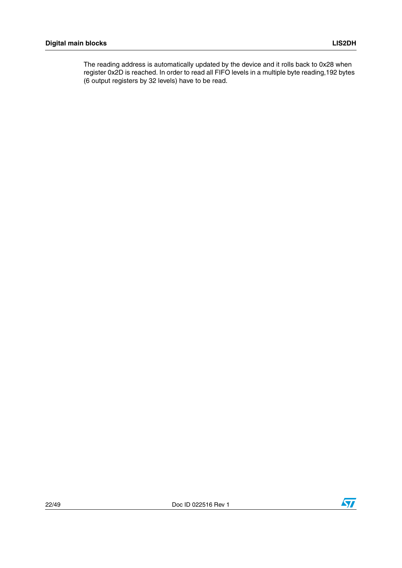The reading address is automatically updated by the device and it rolls back to 0x28 when register 0x2D is reached. In order to read all FIFO levels in a multiple byte reading,192 bytes (6 output registers by 32 levels) have to be read.

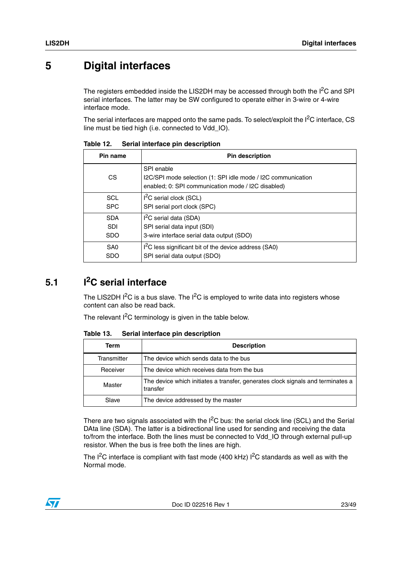# <span id="page-22-0"></span>**5 Digital interfaces**

The registers embedded inside the LIS2DH may be accessed through both the  $I<sup>2</sup>C$  and SPI serial interfaces. The latter may be SW configured to operate either in 3-wire or 4-wire interface mode.

The serial interfaces are mapped onto the same pads. To select/exploit the  $I<sup>2</sup>C$  interface, CS line must be tied high (i.e. connected to Vdd\_IO).

| Pin name        | <b>Pin description</b>                                                                                                           |
|-----------------|----------------------------------------------------------------------------------------------------------------------------------|
| CS.             | SPI enable<br>I2C/SPI mode selection (1: SPI idle mode / I2C communication<br>enabled; 0: SPI communication mode / I2C disabled) |
| SCL             | $I2C$ serial clock (SCL)                                                                                                         |
| <b>SPC</b>      | SPI serial port clock (SPC)                                                                                                      |
| <b>SDA</b>      | $I2C$ serial data (SDA)                                                                                                          |
| <b>SDI</b>      | SPI serial data input (SDI)                                                                                                      |
| <b>SDO</b>      | 3-wire interface serial data output (SDO)                                                                                        |
| SA <sub>0</sub> | I <sup>2</sup> C less significant bit of the device address (SA0)                                                                |
| <b>SDO</b>      | SPI serial data output (SDO)                                                                                                     |

<span id="page-22-2"></span>Table 12. **Serial interface pin description** 

# <span id="page-22-1"></span>**5.1 I2C serial interface**

The LIS2DH  $I^2C$  is a bus slave. The  $I^2C$  is employed to write data into registers whose content can also be read back.

The relevant  $I^2C$  terminology is given in the table below.

Slave | The device addressed by the master

Table 13. **Term Description** Transmitter  $\blacksquare$  The device which sends data to the bus Receiver  $\blacksquare$  The device which receives data from the bus Master The device which initiates a transfer, generates clock signals and terminates a herminates transfer

<span id="page-22-3"></span>**Serial interface pin description** 

There are two signals associated with the  $I^2C$  bus: the serial clock line (SCL) and the Serial DAta line (SDA). The latter is a bidirectional line used for sending and receiving the data to/from the interface. Both the lines must be connected to Vdd\_IO through external pull-up resistor. When the bus is free both the lines are high.

The  $I^2C$  interface is compliant with fast mode (400 kHz)  $I^2C$  standards as well as with the Normal mode.

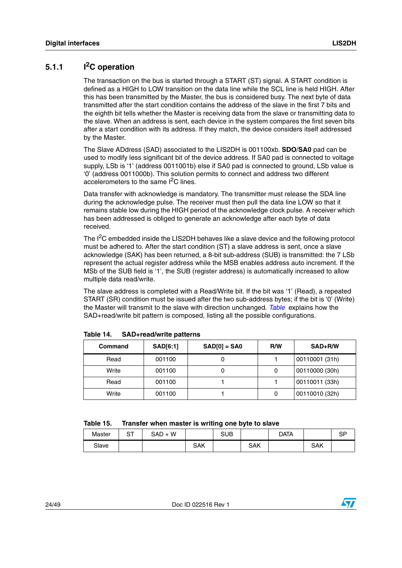#### <span id="page-23-0"></span>**5.1.1 I2C operation**

The transaction on the bus is started through a START (ST) signal. A START condition is defined as a HIGH to LOW transition on the data line while the SCL line is held HIGH. After this has been transmitted by the Master, the bus is considered busy. The next byte of data transmitted after the start condition contains the address of the slave in the first 7 bits and the eighth bit tells whether the Master is receiving data from the slave or transmitting data to the slave. When an address is sent, each device in the system compares the first seven bits after a start condition with its address. If they match, the device considers itself addressed by the Master.

The Slave ADdress (SAD) associated to the LIS2DH is 001100xb. **SDO**/**SA0** pad can be used to modify less significant bit of the device address. If SA0 pad is connected to voltage supply, LSb is '1' (address 0011001b) else if SA0 pad is connected to ground, LSb value is '0' (address 0011000b). This solution permits to connect and address two different accelerometers to the same  $I^2C$  lines.

Data transfer with acknowledge is mandatory. The transmitter must release the SDA line during the acknowledge pulse. The receiver must then pull the data line LOW so that it remains stable low during the HIGH period of the acknowledge clock pulse. A receiver which has been addressed is obliged to generate an acknowledge after each byte of data received.

The I<sup>2</sup>C embedded inside the LIS2DH behaves like a slave device and the following protocol must be adhered to. After the start condition (ST) a slave address is sent, once a slave acknowledge (SAK) has been returned, a 8-bit sub-address (SUB) is transmitted: the 7 LSb represent the actual register address while the MSB enables address auto increment. If the MSb of the SUB field is '1', the SUB (register address) is automatically increased to allow multiple data read/write.

The slave address is completed with a Read/Write bit. If the bit was '1' (Read), a repeated START (SR) condition must be issued after the two sub-address bytes; if the bit is '0' (Write) the Master will transmit to the slave with direction unchanged. *Table* explains how the SAD+read/write bit pattern is composed, listing all the possible configurations.

| Command | <b>SAD[6:1]</b> | $SAD[0] = SAO$ | R/W | SAD+R/W        |
|---------|-----------------|----------------|-----|----------------|
| Read    | 001100          |                |     | 00110001 (31h) |
| Write   | 001100          |                |     | 00110000 (30h) |
| Read    | 001100          |                |     | 00110011 (33h) |
| Write   | 001100          |                |     | 00110010 (32h) |

<span id="page-23-1"></span>**Table 14. SAD+read/write patterns**

<span id="page-23-2"></span>

| Master | ~<br>ັ | SAD<br>W<br>ำ—⊥ |     | SUB |     | DATA |     | сp<br>اب |
|--------|--------|-----------------|-----|-----|-----|------|-----|----------|
| Slave  |        |                 | SAK |     | SAK |      | SAK |          |

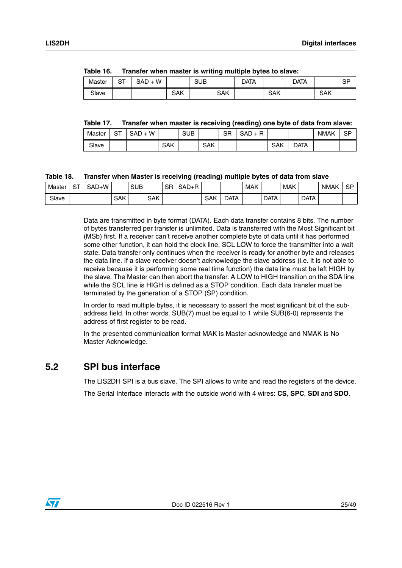|        |    | $\frac{1}{2}$ |     |     |     |      |     |      |     |    |
|--------|----|---------------|-----|-----|-----|------|-----|------|-----|----|
| Master | SТ | SAD + W       |     | SUB |     | DATA |     | data |     | SP |
| Slave  |    |               | SAK |     | SAK |      | SAK |      | SAK |    |

<span id="page-24-1"></span>**Table 16. Transfer when master is writing multiple bytes to slave:**

#### <span id="page-24-2"></span>**Table 17. Transfer when master is receiving (reading) one byte of data from slave:**

| Master | $\mathbf{r}$<br>ت | W<br><b>SAD</b> |     | SUB |            | <b>QD</b><br>חכ | <b>CAD</b><br>□<br>SAD<br><b>.</b><br>- |            |      | <b>NMAK</b> | SP |
|--------|-------------------|-----------------|-----|-----|------------|-----------------|-----------------------------------------|------------|------|-------------|----|
| Slave  |                   |                 | SAK |     | <b>SAK</b> |                 |                                         | <b>SAK</b> | Data |             |    |

#### <span id="page-24-3"></span>**Table 18. Transfer when Master is receiving (reading) multiple bytes of data from slave**

| Master | $\sim$ $\sim$ | SAD+W |            | <b>SUB</b> |            | SR | $SAD+R$ |            |      | <b>MAK</b> |             | <b>MAK</b> |             | <b>NMAK</b> | $\cap$<br>১৮ |
|--------|---------------|-------|------------|------------|------------|----|---------|------------|------|------------|-------------|------------|-------------|-------------|--------------|
| Slave  |               |       | <b>SAK</b> |            | <b>SAK</b> |    |         | <b>SAK</b> | Data |            | <b>DATA</b> |            | <b>DATA</b> |             |              |

Data are transmitted in byte format (DATA). Each data transfer contains 8 bits. The number of bytes transferred per transfer is unlimited. Data is transferred with the Most Significant bit (MSb) first. If a receiver can't receive another complete byte of data until it has performed some other function, it can hold the clock line, SCL LOW to force the transmitter into a wait state. Data transfer only continues when the receiver is ready for another byte and releases the data line. If a slave receiver doesn't acknowledge the slave address (i.e. it is not able to receive because it is performing some real time function) the data line must be left HIGH by the slave. The Master can then abort the transfer. A LOW to HIGH transition on the SDA line while the SCL line is HIGH is defined as a STOP condition. Each data transfer must be terminated by the generation of a STOP (SP) condition.

In order to read multiple bytes, it is necessary to assert the most significant bit of the subaddress field. In other words, SUB(7) must be equal to 1 while SUB(6-0) represents the address of first register to be read.

In the presented communication format MAK is Master acknowledge and NMAK is No Master Acknowledge.

### <span id="page-24-0"></span>**5.2 SPI bus interface**

The LIS2DH SPI is a bus slave. The SPI allows to write and read the registers of the device.

The Serial Interface interacts with the outside world with 4 wires: **CS**, **SPC**, **SDI** and **SDO**.

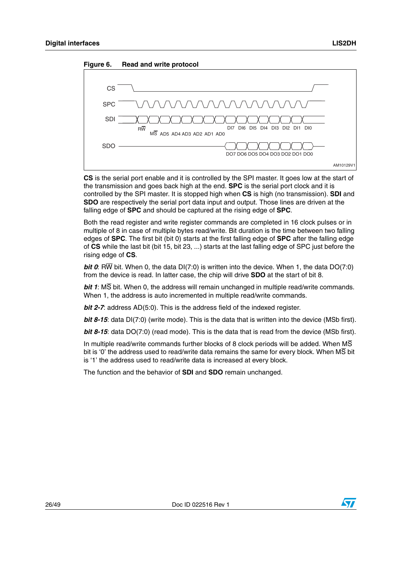<span id="page-25-0"></span>



**CS** is the serial port enable and it is controlled by the SPI master. It goes low at the start of the transmission and goes back high at the end. **SPC** is the serial port clock and it is controlled by the SPI master. It is stopped high when **CS** is high (no transmission). **SDI** and **SDO** are respectively the serial port data input and output. Those lines are driven at the falling edge of **SPC** and should be captured at the rising edge of **SPC**.

Both the read register and write register commands are completed in 16 clock pulses or in multiple of 8 in case of multiple bytes read/write. Bit duration is the time between two falling edges of **SPC**. The first bit (bit 0) starts at the first falling edge of **SPC** after the falling edge of **CS** while the last bit (bit 15, bit 23, ...) starts at the last falling edge of SPC just before the rising edge of **CS**.

*bit 0*: RW bit. When 0, the data DI(7:0) is written into the device. When 1, the data DO(7:0) from the device is read. In latter case, the chip will drive **SDO** at the start of bit 8.

*bit 1*: MS bit. When 0, the address will remain unchanged in multiple read/write commands. When 1, the address is auto incremented in multiple read/write commands.

*bit 2-7:* address AD(5:0). This is the address field of the indexed register.

*bit 8-15*: data DI(7:0) (write mode). This is the data that is written into the device (MSb first).

*bit 8-15*: data DO(7:0) (read mode). This is the data that is read from the device (MSb first).

In multiple read/write commands further blocks of 8 clock periods will be added. When  $\overline{\text{MS}}$ bit is '0' the address used to read/write data remains the same for every block. When MS bit is '1' the address used to read/write data is increased at every block.

The function and the behavior of **SDI** and **SDO** remain unchanged.

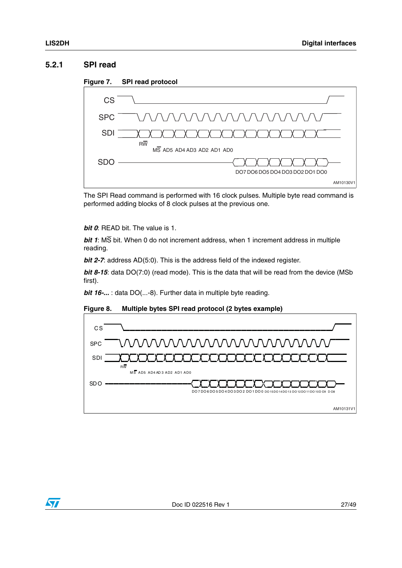#### <span id="page-26-0"></span>**5.2.1 SPI read**

<span id="page-26-1"></span>



The SPI Read command is performed with 16 clock pulses. Multiple byte read command is performed adding blocks of 8 clock pulses at the previous one.

*bit 0*: READ bit. The value is 1.

*bit 1*: MS bit. When 0 do not increment address, when 1 increment address in multiple reading.

*bit 2-7*: address AD(5:0). This is the address field of the indexed register.

**bit 8-15**: data DO(7:0) (read mode). This is the data that will be read from the device (MSb first).

*bit 16-...* : data DO(...-8). Further data in multiple byte reading.

<span id="page-26-2"></span>



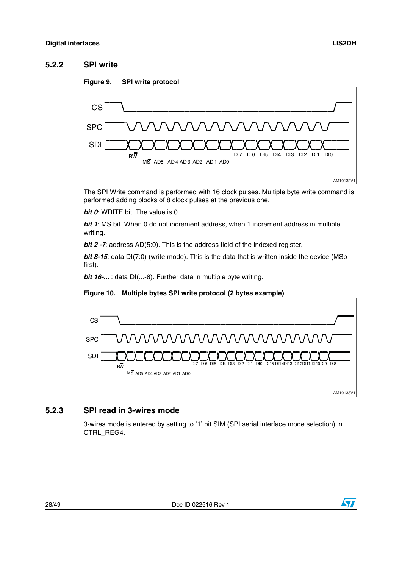#### <span id="page-27-0"></span>**5.2.2 SPI write**

<span id="page-27-2"></span>



The SPI Write command is performed with 16 clock pulses. Multiple byte write command is performed adding blocks of 8 clock pulses at the previous one.

*bit 0:* WRITE bit. The value is 0.

*bit 1*: MS bit. When 0 do not increment address, when 1 increment address in multiple writing.

*bit 2 -7*: address AD(5:0). This is the address field of the indexed register.

*bit 8-15*: data DI(7:0) (write mode). This is the data that is written inside the device (MSb first).

*bit 16-...* : data DI(...-8). Further data in multiple byte writing.



#### <span id="page-27-3"></span>**Figure 10. Multiple bytes SPI write protocol (2 bytes example)**

#### <span id="page-27-1"></span>**5.2.3 SPI read in 3-wires mode**

3-wires mode is entered by setting to '1' bit SIM (SPI serial interface mode selection) in CTRL\_REG4.

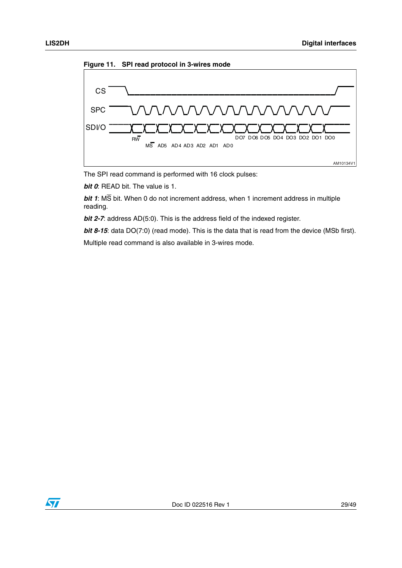<span id="page-28-0"></span>



The SPI read command is performed with 16 clock pulses:

*bit 0*: READ bit. The value is 1.

*bit 1*: MS bit. When 0 do not increment address, when 1 increment address in multiple reading.

*bit 2-7*: address AD(5:0). This is the address field of the indexed register.

**bit 8-15**: data DO(7:0) (read mode). This is the data that is read from the device (MSb first).

Multiple read command is also available in 3-wires mode.

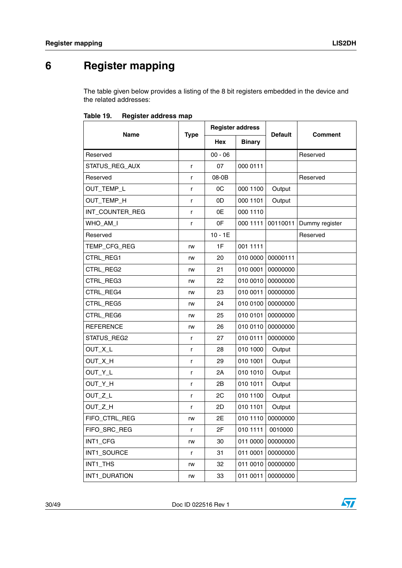# <span id="page-29-0"></span>**6 Register mapping**

The table given below provides a listing of the 8 bit registers embedded in the device and the related addresses:

|                  |             | <b>Register address</b> |               |                |                |
|------------------|-------------|-------------------------|---------------|----------------|----------------|
| <b>Name</b>      | <b>Type</b> | <b>Hex</b>              | <b>Binary</b> | <b>Default</b> | <b>Comment</b> |
| Reserved         |             | $00 - 06$               |               |                | Reserved       |
| STATUS_REG_AUX   | r           | 07                      | 000 0111      |                |                |
| Reserved         | r           | 08-0B                   |               |                | Reserved       |
| OUT_TEMP_L       | r           | 0C                      | 000 1100      | Output         |                |
| OUT_TEMP_H       | r           | 0D                      | 000 1101      | Output         |                |
| INT_COUNTER_REG  | r           | 0E                      | 000 1110      |                |                |
| WHO_AM_I         | r           | 0F                      | 000 1111      | 00110011       | Dummy register |
| Reserved         |             | $10 - 1E$               |               |                | Reserved       |
| TEMP_CFG_REG     | rw          | 1F                      | 001 1111      |                |                |
| CTRL_REG1        | rw          | 20                      | 010 0000      | 00000111       |                |
| CTRL_REG2        | rw          | 21                      | 010 0001      | 00000000       |                |
| CTRL_REG3        | rw          | 22                      | 010 0010      | 00000000       |                |
| CTRL_REG4        | rw          | 23                      | 010 0011      | 00000000       |                |
| CTRL_REG5        | rw          | 24                      | 010 0100      | 00000000       |                |
| CTRL_REG6        | rw          | 25                      | 010 0101      | 00000000       |                |
| <b>REFERENCE</b> | rw          | 26                      | 010 0110      | 00000000       |                |
| STATUS_REG2      | r           | 27                      | 010 0111      | 00000000       |                |
| OUT_X_L          | r           | 28                      | 010 1000      | Output         |                |
| OUT_X_H          | r           | 29                      | 010 1001      | Output         |                |
| OUT_Y_L          | r           | 2A                      | 010 1010      | Output         |                |
| OUT_Y_H          | r           | 2Β                      | 010 1011      | Output         |                |
| OUT_Z_L          | r           | 2C                      | 010 1100      | Output         |                |
| OUT_Z_H          | r           | 2D                      | 010 1101      | Output         |                |
| FIFO_CTRL_REG    | rw          | 2E                      | 010 1110      | 00000000       |                |
| FIFO_SRC_REG     | r           | 2F                      | 010 1111      | 0010000        |                |
| INT1_CFG         | rw          | 30                      | 011 0000      | 00000000       |                |
| INT1_SOURCE      | r           | 31                      | 011 0001      | 00000000       |                |
| INT1_THS         | rw          | 32                      | 011 0010      | 00000000       |                |
| INT1_DURATION    | rw          | 33                      | 011 0011      | 00000000       |                |

<span id="page-29-1"></span>Table 19. **Register address map** 

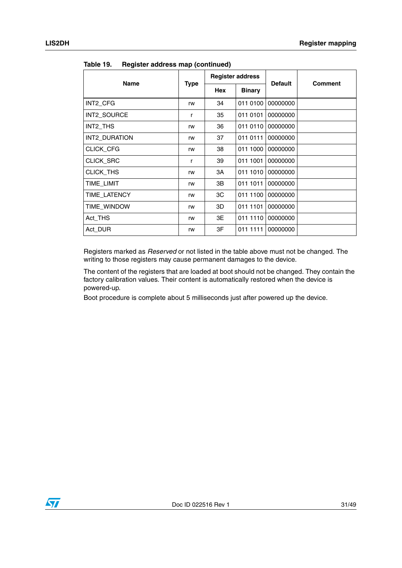| 1991 - 19<br><b>TRANSIC addition</b> (committed) |      |                         |               |                |                |
|--------------------------------------------------|------|-------------------------|---------------|----------------|----------------|
|                                                  |      | <b>Register address</b> |               | <b>Default</b> |                |
| <b>Name</b>                                      | Type | Hex                     | <b>Binary</b> |                | <b>Comment</b> |
| INT2_CFG                                         | rw   | 34                      | 011 0100      | 00000000       |                |
| INT2 SOURCE                                      | r    | 35                      | 011 0101      | 00000000       |                |
| INT2_THS                                         | rw   | 36                      | 011 0110      | 00000000       |                |
| INT2 DURATION                                    | rw   | 37                      | 011 0111      | 00000000       |                |
| CLICK_CFG                                        | rw   | 38                      | 011 1000      | 00000000       |                |
| CLICK_SRC                                        | r    | 39                      | 011 1001      | 00000000       |                |
| CLICK_THS                                        | rw   | ЗΑ                      | 011 1010      | 00000000       |                |
| TIME LIMIT                                       | rw   | 3B                      | 011 1011      | 00000000       |                |
| TIME LATENCY                                     | rw   | ЗC                      | 011 1100      | 00000000       |                |
| TIME WINDOW                                      | rw   | 3D                      | 011 1101      | 00000000       |                |
| Act_THS                                          | rw   | 3E                      | 011 1110      | 00000000       |                |
| Act DUR                                          | rw   | 3F                      | 011 1111      | 00000000       |                |

**Table 19. Register address map (continued)**

Registers marked as *Reserved* or not listed in the table above must not be changed. The writing to those registers may cause permanent damages to the device.

The content of the registers that are loaded at boot should not be changed. They contain the factory calibration values. Their content is automatically restored when the device is powered-up.

Boot procedure is complete about 5 milliseconds just after powered up the device.

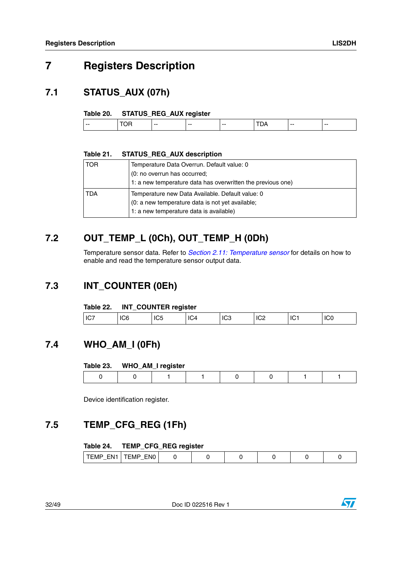# <span id="page-31-0"></span>**7 Registers Description**

### <span id="page-31-1"></span>**7.1 STATUS\_AUX (07h)**

#### <span id="page-31-6"></span>**Table 20. STATUS\_REG\_AUX register**

| -- | $-$ | $-$ | $-$ | $- -$ | $- -$ |
|----|-----|-----|-----|-------|-------|
|    |     |     |     |       |       |

#### <span id="page-31-7"></span>**Table 21. STATUS\_REG\_AUX description**

| l TOR | Temperature Data Overrun. Default value: 0<br>(0: no overrun has occurred;<br>1: a new temperature data has overwritten the previous one)       |
|-------|-------------------------------------------------------------------------------------------------------------------------------------------------|
| I TDA | Temperature new Data Available. Default value: 0<br>(0: a new temperature data is not yet available;<br>1: a new temperature data is available) |

### <span id="page-31-2"></span>**7.2 OUT\_TEMP\_L (0Ch), OUT\_TEMP\_H (0Dh)**

Temperature sensor data. Refer to *[Section 2.11: Temperature sensor](#page-18-2)* for details on how to enable and read the temperature sensor output data.

### <span id="page-31-3"></span>**7.3 INT\_COUNTER (0Eh)**

#### <span id="page-31-8"></span>**Table 22. INT\_COUNTER register**

|            | _ _ _ _ _ _ _ _ _ _ _ _ _ _ |   |     |    |   |      |
|------------|-----------------------------|---|-----|----|---|------|
| -16<br>ושו | $\sim$<br>ں ب               | س | טשו | ◡▵ | Ś | '``` |
|            |                             |   |     |    |   |      |

### <span id="page-31-4"></span>**7.4 WHO\_AM\_I (0Fh)**

#### <span id="page-31-9"></span>**Table 23. WHO\_AM\_I register**

Device identification register.

### <span id="page-31-5"></span>**7.5 TEMP\_CFG\_REG (1Fh)**

#### <span id="page-31-10"></span>**Table 24. TEMP\_CFG\_REG register**

| ENC<br>$\sim$<br>⊢N.<br>⊢м⊩<br>ьM |
|-----------------------------------|
|-----------------------------------|

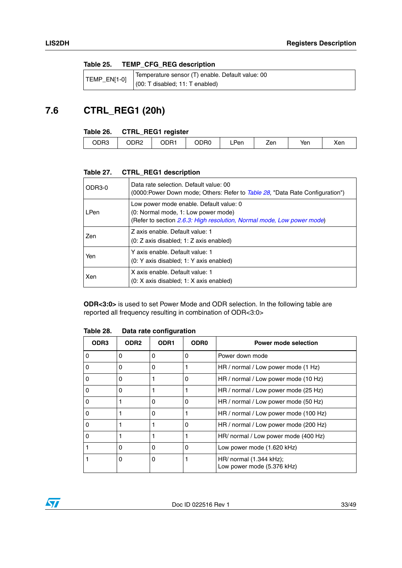#### <span id="page-32-1"></span>**Table 25. TEMP\_CFG\_REG description**

|  | Temperature sensor (T) enable. Default value: 00                              |
|--|-------------------------------------------------------------------------------|
|  | $\left  \right $ LMP_EN[1-0] $\left  \right $ (00: T disabled; 11: T enabled) |

### <span id="page-32-0"></span>**7.6 CTRL\_REG1 (20h)**

#### <span id="page-32-2"></span>**Table 26. CTRL\_REG1 register**

|      | __   |              |      |           |     |     |     |
|------|------|--------------|------|-----------|-----|-----|-----|
| ODR3 | DDR2 | onn-<br>∵∽ال | ODR0 | Pen<br>-- | Zen | Yen | Xen |
|      |      |              |      |           |     |     |     |

#### <span id="page-32-3"></span>**Table 27. CTRL\_REG1 description**

| ODR3-0 | Data rate selection. Default value: 00<br>(0000:Power Down mode; Others: Refer to <i>Table 28</i> , "Data Rate Configuration")                           |
|--------|----------------------------------------------------------------------------------------------------------------------------------------------------------|
| LPen   | Low power mode enable. Default value: 0<br>(0: Normal mode, 1: Low power mode)<br>(Refer to section 2.6.3: High resolution, Normal mode, Low power mode) |
| Zen    | Z axis enable. Default value: 1<br>$(0: Z \text{ axis disabled}; 1: Z \text{ axis enabled})$                                                             |
| Yen    | Y axis enable. Default value: 1<br>(0: Y axis disabled; 1: Y axis enabled)                                                                               |
| Xen    | X axis enable. Default value: 1<br>(0: X axis disabled; 1: X axis enabled)                                                                               |

**ODR<3:0>** is used to set Power Mode and ODR selection. In the following table are reported all frequency resulting in combination of ODR<3:0>

| ODR <sub>3</sub> | ODR <sub>2</sub> | ODR <sub>1</sub> | <b>ODR0</b> | <b>Power mode selection</b>                               |  |
|------------------|------------------|------------------|-------------|-----------------------------------------------------------|--|
| 0                | $\Omega$         | 0                | 0           | Power down mode                                           |  |
| O                | 0                | 0                |             | HR / normal / Low power mode (1 Hz)                       |  |
| 0                | 0                |                  | 0           | HR / normal / Low power mode (10 Hz)                      |  |
| 0                | 0                |                  |             | HR / normal / Low power mode (25 Hz)                      |  |
| 0                |                  | 0                | 0           | HR / normal / Low power mode (50 Hz)                      |  |
| 0                |                  | 0                |             | HR / normal / Low power mode (100 Hz)                     |  |
| 0                |                  |                  | $\Omega$    | HR / normal / Low power mode (200 Hz)                     |  |
| 0                |                  |                  |             | HR/ normal / Low power mode (400 Hz)                      |  |
|                  | 0                | Ω                | 0           | Low power mode (1.620 kHz)                                |  |
|                  | 0                | 0                |             | $HR/$ normal $(1.344$ kHz);<br>Low power mode (5.376 kHz) |  |

#### <span id="page-32-4"></span>**Table 28. Data rate configuration**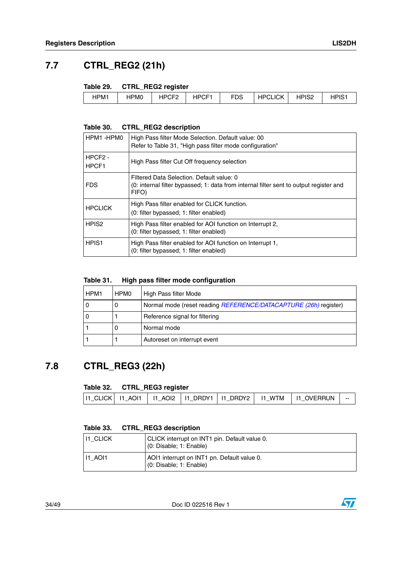### <span id="page-33-0"></span>**7.7 CTRL\_REG2 (21h)**

#### <span id="page-33-2"></span>**Table 29. CTRL\_REG2 register**

| $1000 - 100$<br><b>FDS</b><br><b>HPCLICK</b><br>מסום ב<br>HPIS <sub>1</sub><br>$I^{\mathsf{D}}$<br>HPM1<br>HPM0<br>⊤اٺ<br>-<br>H۲<br>ے ت<br>ັ |  |  |  |  |
|-----------------------------------------------------------------------------------------------------------------------------------------------|--|--|--|--|
|                                                                                                                                               |  |  |  |  |

#### <span id="page-33-3"></span>**Table 30. CTRL\_REG2 description**

| HPM1-HPM0                    | High Pass filter Mode Selection. Default value: 00<br>Refer to Table 31, "High pass filter mode configuration"                               |
|------------------------------|----------------------------------------------------------------------------------------------------------------------------------------------|
| HPCF <sub>2</sub> -<br>HPCF1 | High Pass filter Cut Off frequency selection                                                                                                 |
| <b>FDS</b>                   | Filtered Data Selection. Default value: 0<br>(0: internal filter bypassed; 1: data from internal filter sent to output register and<br>FIFO) |
| <b>HPCLICK</b>               | High Pass filter enabled for CLICK function.<br>(0: filter bypassed; 1: filter enabled)                                                      |
| HPIS <sub>2</sub>            | High Pass filter enabled for AOI function on Interrupt 2,<br>(0: filter bypassed; 1: filter enabled)                                         |
| HPIS <sub>1</sub>            | High Pass filter enabled for AOI function on Interrupt 1,<br>(0: filter bypassed; 1: filter enabled)                                         |

#### <span id="page-33-4"></span>**Table 31. High pass filter mode configuration**

| HPM1 | HPM0 | High Pass filter Mode                                            |
|------|------|------------------------------------------------------------------|
|      | U    | Normal mode (reset reading REFERENCE/DATACAPTURE (26h) register) |
| 0    |      | Reference signal for filtering                                   |
|      | O    | Normal mode                                                      |
|      |      | Autoreset on interrupt event                                     |

### <span id="page-33-1"></span>**7.8 CTRL\_REG3 (22h)**

#### <span id="page-33-5"></span>**Table 32. CTRL\_REG3 register**

| 11 CLICK 11 AO11   11 AO12   11 DRDY1   11 DRDY2   11 WTM   11 OVERRUN |  |
|------------------------------------------------------------------------|--|

#### <span id="page-33-6"></span>**Table 33. CTRL\_REG3 description**

| <b>II1 CLICK</b> | CLICK interrupt on INT1 pin. Default value 0.<br>(0: Disable; 1: Enable) |
|------------------|--------------------------------------------------------------------------|
| 111 AOI1         | AOI1 interrupt on INT1 pn. Default value 0.<br>(0: Disable; 1: Enable)   |

34/49 Doc ID 022516 Rev 1

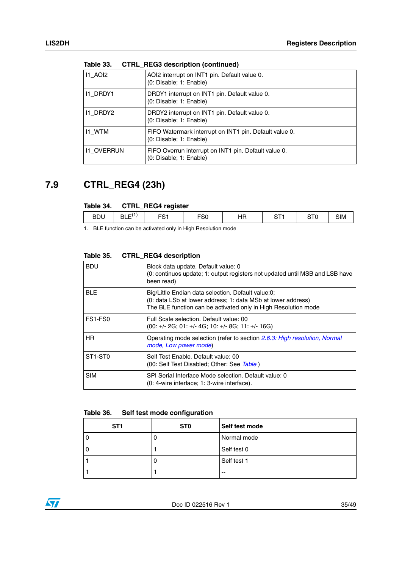| <b>11 AOI2</b>    | AOI2 interrupt on INT1 pin. Default value 0.<br>(0: Disable: 1: Enable)           |
|-------------------|-----------------------------------------------------------------------------------|
| <b>11 DRDY1</b>   | DRDY1 interrupt on INT1 pin. Default value 0.<br>(0: Disable: 1: Enable)          |
| I1 DRDY2          | DRDY2 interrupt on INT1 pin. Default value 0.<br>(0: Disable: 1: Enable)          |
| 11 WTM            | FIFO Watermark interrupt on INT1 pin. Default value 0.<br>(0: Disable: 1: Enable) |
| <b>11 OVERRUN</b> | FIFO Overrun interrupt on INT1 pin. Default value 0.<br>(0: Disable; 1: Enable)   |

**Table 33. CTRL\_REG3 description (continued)**

### <span id="page-34-0"></span>**7.9 CTRL\_REG4 (23h)**

#### <span id="page-34-1"></span>**Table 34. CTRL\_REG4 register**

|                                                                                                                      | __ | -- |  |  |            |
|----------------------------------------------------------------------------------------------------------------------|----|----|--|--|------------|
| .<br>-^-<br><b>BDU</b><br>~-<br>$- -$<br>HR<br>roo<br>-<br>$\sim$<br>∵ BL∟<br>--<br>טט<br>ں ا ت<br>ا ب<br>، ب<br>--- |    |    |  |  | <b>SIM</b> |

1. BLE function can be activated only in High Resolution mode

| <b>BDU</b>                       | Block data update. Default value: 0<br>(0: continuos update; 1: output registers not updated until MSB and LSB have<br>been read)                                                    |
|----------------------------------|--------------------------------------------------------------------------------------------------------------------------------------------------------------------------------------|
| <b>BLE</b>                       | Big/Little Endian data selection. Default value:0;<br>(0: data LSb at lower address; 1: data MSb at lower address)<br>The BLE function can be activated only in High Resolution mode |
| FS1-FS0                          | Full Scale selection. Default value: 00<br>$(00: +/- 2G: 01: +/- 4G: 10: +/- 8G: 11: +/- 16G)$                                                                                       |
| <b>HR</b>                        | Operating mode selection (refer to section 2.6.3: High resolution, Normal<br>mode, Low power mode)                                                                                   |
| ST <sub>1</sub> -ST <sub>0</sub> | Self Test Enable, Default value: 00<br>(00: Self Test Disabled; Other: See Table)                                                                                                    |
| <b>SIM</b>                       | SPI Serial Interface Mode selection. Default value: 0<br>(0: 4-wire interface; 1: 3-wire interface).                                                                                 |

#### <span id="page-34-2"></span>**Table 35. CTRL\_REG4 description**

#### <span id="page-34-3"></span>**Table 36. Self test mode configuration**

| ST <sub>1</sub> | ST <sub>0</sub> | Self test mode |
|-----------------|-----------------|----------------|
|                 |                 | Normal mode    |
|                 |                 | Self test 0    |
|                 |                 | Self test 1    |
|                 |                 | $-$            |

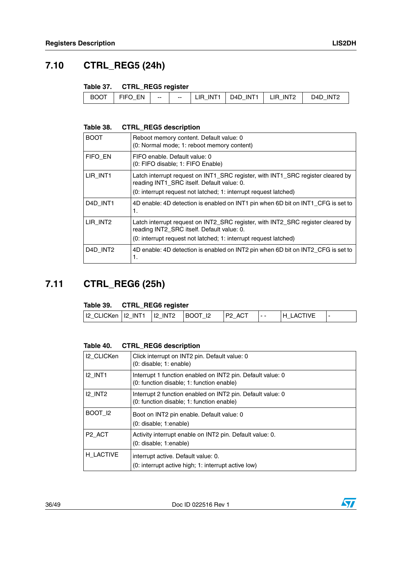### <span id="page-35-0"></span>**7.10 CTRL\_REG5 (24h)**

#### <span id="page-35-2"></span>**Table 37. CTRL\_REG5 register**

| <b>BOOT</b> | FN<br>---<br>∽<br>-- | $- -$ | $-$ | INT <sub>1</sub><br>IR | INT1<br>D4D. | INT <sub>2</sub><br>IR | INT <sup>r</sup><br>ח4כ |
|-------------|----------------------|-------|-----|------------------------|--------------|------------------------|-------------------------|
|-------------|----------------------|-------|-----|------------------------|--------------|------------------------|-------------------------|

#### <span id="page-35-3"></span>**Table 38. CTRL\_REG5 description**

| <b>BOOT</b>                       | Reboot memory content. Default value: 0<br>(0: Normal mode; 1: reboot memory content)                                                                                                             |
|-----------------------------------|---------------------------------------------------------------------------------------------------------------------------------------------------------------------------------------------------|
| FIFO EN                           | FIFO enable. Default value: 0<br>(0: FIFO disable; 1: FIFO Enable)                                                                                                                                |
| LIR INT1                          | Latch interrupt request on INT1_SRC register, with INT1_SRC register cleared by<br>reading INT1 SRC itself. Default value: 0.<br>(0: interrupt request not latched; 1: interrupt request latched) |
| D <sub>4</sub> D INT <sub>1</sub> | 4D enable: 4D detection is enabled on INT1 pin when 6D bit on INT1 CFG is set to<br>1.                                                                                                            |
| LIR INT2                          | Latch interrupt request on INT2_SRC register, with INT2_SRC register cleared by<br>reading INT2 SRC itself. Default value: 0.<br>(0: interrupt request not latched; 1: interrupt request latched) |
| D4D INT2                          | 4D enable: 4D detection is enabled on INT2 pin when 6D bit on INT2_CFG is set to<br>1.                                                                                                            |

### <span id="page-35-1"></span>**7.11 CTRL\_REG6 (25h)**

#### <span id="page-35-4"></span>**Table 39. CTRL\_REG6 register**

|                                    | _____ |          |   |                   |  |
|------------------------------------|-------|----------|---|-------------------|--|
| 12 CLICKen 12 INT1 12 INT2 BOOT 12 |       | $P2$ ACT | . | <b>IH LACTIVE</b> |  |
|                                    |       |          |   |                   |  |

#### <span id="page-35-5"></span>**Table 40. CTRL\_REG6 description**

| <b>I2 CLICKen</b>  | Click interrupt on INT2 pin. Default value: 0<br>(0: disable; 1: enable)                                |
|--------------------|---------------------------------------------------------------------------------------------------------|
| <b>I2 INT1</b>     | Interrupt 1 function enabled on INT2 pin. Default value: 0<br>(0: function disable; 1: function enable) |
| $I2$ INT2          | Interrupt 2 function enabled on INT2 pin. Default value: 0<br>(0: function disable; 1: function enable) |
| BOOT 12            | Boot on INT2 pin enable. Default value: 0<br>$(0:$ disable; 1:enable)                                   |
| P <sub>2</sub> ACT | Activity interrupt enable on INT2 pin. Default value: 0.<br>$(0:$ disable; 1:enable)                    |
| H LACTIVE          | interrupt active. Default value: 0.<br>(0: interrupt active high; 1: interrupt active low)              |

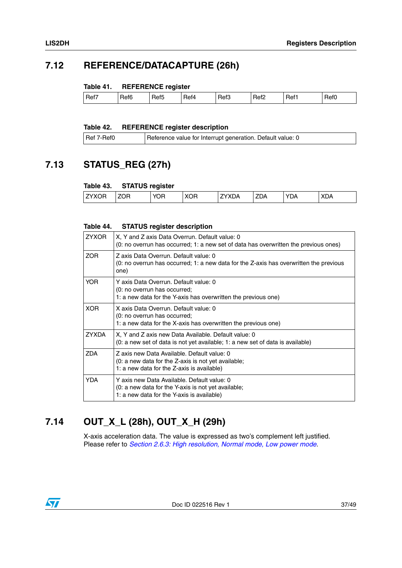### <span id="page-36-0"></span>**7.12 REFERENCE/DATACAPTURE (26h)**

#### <span id="page-36-3"></span>**Table 41. REFERENCE register**

|  |  | Ref7 | Ref6<br>_ | }ef5 | . .<br>⊀et4 | Ref3<br>- | Ref <sub>2</sub> | Ref1 | RefC |
|--|--|------|-----------|------|-------------|-----------|------------------|------|------|
|--|--|------|-----------|------|-------------|-----------|------------------|------|------|

#### <span id="page-36-4"></span>**Table 42. REFERENCE register description**

| Reference value for Interrupt generation. Default value: 0<br>Ref 7-Ref0 |  |  |
|--------------------------------------------------------------------------|--|--|
|--------------------------------------------------------------------------|--|--|

### <span id="page-36-1"></span>**7.13 STATUS\_REG (27h)**

#### <span id="page-36-5"></span>**Table 43. STATUS register**

|              | . <u>.</u> |            |            |       |            |            |            |
|--------------|------------|------------|------------|-------|------------|------------|------------|
| <b>ZYXOR</b> | <b>ZOR</b> | <b>YOR</b> | <b>XOR</b> | 7YXDA | <b>ZDA</b> | <b>YDA</b> | <b>XDA</b> |
|              |            |            |            |       |            |            |            |

#### <span id="page-36-6"></span>**Table 44. STATUS register description**

| <b>ZYXOR</b> | X, Y and Z axis Data Overrun. Default value: 0<br>(0: no overrun has occurred; 1: a new set of data has overwritten the previous ones)           |
|--------------|--------------------------------------------------------------------------------------------------------------------------------------------------|
| ZOR.         | Z axis Data Overrun. Default value: 0<br>(0: no overrun has occurred; 1: a new data for the Z-axis has overwritten the previous<br>one)          |
| YOR          | Y axis Data Overrun. Default value: 0<br>(0: no overrun has occurred;<br>1: a new data for the Y-axis has overwritten the previous one)          |
| XOR.         | X axis Data Overrun. Default value: 0<br>(0: no overrun has occurred;<br>1: a new data for the X-axis has overwritten the previous one)          |
| <b>ZYXDA</b> | X, Y and Z axis new Data Available. Default value: 0<br>(0: a new set of data is not yet available; 1: a new set of data is available)           |
| ZDA          | Z axis new Data Available. Default value: 0<br>(0: a new data for the Z-axis is not yet available;<br>1: a new data for the Z-axis is available) |
| <b>YDA</b>   | Y axis new Data Available. Default value: 0<br>(0: a new data for the Y-axis is not yet available;<br>1: a new data for the Y-axis is available) |

### <span id="page-36-2"></span>**7.14 OUT\_X\_L (28h), OUT\_X\_H (29h)**

X-axis acceleration data. The value is expressed as two's complement left justified. Please refer to *[Section 2.6.3: High resolution, Normal mode, Low power mode](#page-15-5)*.

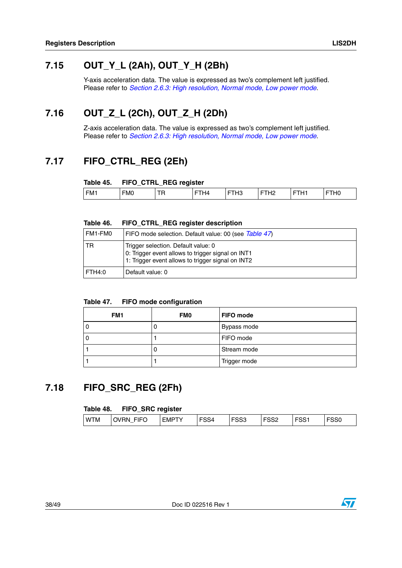### <span id="page-37-0"></span>**7.15 OUT\_Y\_L (2Ah), OUT\_Y\_H (2Bh)**

Y-axis acceleration data. The value is expressed as two's complement left justified. Please refer to *[Section 2.6.3: High resolution, Normal mode, Low power mode](#page-15-5)*.

### <span id="page-37-1"></span>**7.16 OUT\_Z\_L (2Ch), OUT\_Z\_H (2Dh)**

Z-axis acceleration data. The value is expressed as two's complement left justified. Please refer to *[Section 2.6.3: High resolution, Normal mode, Low power mode](#page-15-5)*.

### <span id="page-37-2"></span>**7.17 FIFO\_CTRL\_REG (2Eh)**

#### <span id="page-37-4"></span>**Table 45. FIFO\_CTRL\_REG register**

| ___ | <br>$\sim$      | .        | ___ |               |                         |        |                        |
|-----|-----------------|----------|-----|---------------|-------------------------|--------|------------------------|
| FM1 | FM <sub>0</sub> | ÷<br>. . | 74. | _<br>−<br>ں ا | הווי<br>_<br>. <u>.</u> | -<br>− | $\overline{110}$<br>∪⊓ |
|     |                 |          |     |               |                         |        |                        |

#### <span id="page-37-5"></span>**Table 46. FIFO\_CTRL\_REG register description**

| FM1-FM0   | FIFO mode selection. Default value: 00 (see Table $47$ )                                                                                      |
|-----------|-----------------------------------------------------------------------------------------------------------------------------------------------|
| <b>TR</b> | Trigger selection. Default value: 0<br>0: Trigger event allows to trigger signal on INT1<br>1: Trigger event allows to trigger signal on INT2 |
| FTH4:0    | Default value: 0                                                                                                                              |

#### <span id="page-37-6"></span>**Table 47. FIFO mode configuration**

| FM1 | <b>FMO</b> | <b>FIFO mode</b> |
|-----|------------|------------------|
|     |            | Bypass mode      |
|     |            | FIFO mode        |
|     |            | Stream mode      |
|     |            | Trigger mode     |

### <span id="page-37-3"></span>**7.18 FIFO\_SRC\_REG (2Fh)**

#### <span id="page-37-7"></span>**Table 48. FIFO\_SRC register**

| <b>FOOC</b><br>roo-<br>--- -<br>$-0.0$<br>----<br>rooc<br>WTN<br>EMP <sup>®</sup><br>ער<br>ΈN<br>I M<br>---<br>- -<br>74<br>ວວບ<br>ు<br>oou<br>. .<br>ءت<br>ັ<br> |
|-------------------------------------------------------------------------------------------------------------------------------------------------------------------|
|-------------------------------------------------------------------------------------------------------------------------------------------------------------------|

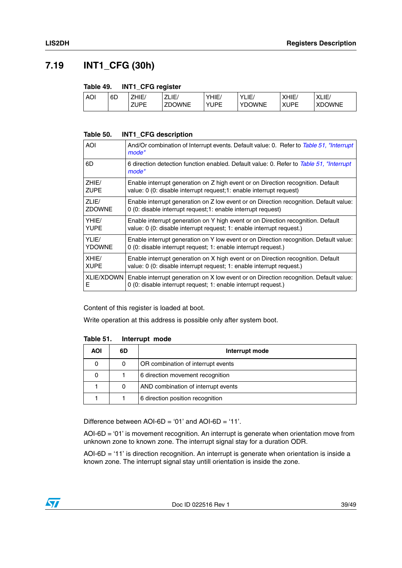### <span id="page-38-0"></span>**7.19 INT1\_CFG (30h)**

#### <span id="page-38-1"></span>**Table 49. INT1\_CFG register**

| <b>AOI</b> | 6D | ZHIE               | ZLIE/<br>$\overline{\phantom{a}}$ | HIE<br>V | $\cdot$<br>ΊLIΕ | XHIE        | $\mathsf{v}$<br>XLIE/ |
|------------|----|--------------------|-----------------------------------|----------|-----------------|-------------|-----------------------|
|            |    | <b>71 IDE</b><br>- | <b>ZDOWNE</b>                     | v<br>IDE | vnr<br>OWNE     | <b>AUPF</b> | <b>XDOWNE</b>         |

#### <span id="page-38-2"></span>**Table 50. INT1\_CFG description**

| AOI               | And/Or combination of Interrupt events. Default value: 0. Refer to Table 51, "Interrupt<br>mode"  |  |  |  |  |
|-------------------|---------------------------------------------------------------------------------------------------|--|--|--|--|
| 6D                | 6 direction detection function enabled. Default value: 0. Refer to Table 51, "Interrupt"<br>mode" |  |  |  |  |
| ZHIE/             | Enable interrupt generation on Z high event or on Direction recognition. Default                  |  |  |  |  |
| <b>ZUPE</b>       | value: 0 (0: disable interrupt request; 1: enable interrupt request)                              |  |  |  |  |
| ZLIF/             | Enable interrupt generation on Z low event or on Direction recognition. Default value:            |  |  |  |  |
| <b>ZDOWNE</b>     | 0 (0: disable interrupt request; 1: enable interrupt request)                                     |  |  |  |  |
| YHIE/             | Enable interrupt generation on Y high event or on Direction recognition. Default                  |  |  |  |  |
| <b>YUPE</b>       | value: 0 (0: disable interrupt request; 1: enable interrupt request.)                             |  |  |  |  |
| YLIF/             | Enable interrupt generation on Y low event or on Direction recognition. Default value:            |  |  |  |  |
| <b>YDOWNE</b>     | 0 (0: disable interrupt request; 1: enable interrupt request.)                                    |  |  |  |  |
| XHIF/             | Enable interrupt generation on X high event or on Direction recognition. Default                  |  |  |  |  |
| <b>XUPE</b>       | value: 0 (0: disable interrupt request; 1: enable interrupt request.)                             |  |  |  |  |
| <b>XLIE/XDOWN</b> | Enable interrupt generation on X low event or on Direction recognition. Default value:            |  |  |  |  |
| E                 | 0 (0: disable interrupt request; 1: enable interrupt request.)                                    |  |  |  |  |

Content of this register is loaded at boot.

Write operation at this address is possible only after system boot.

<span id="page-38-3"></span>

| Table 51. | Interrupt mode |  |
|-----------|----------------|--|
|-----------|----------------|--|

| <b>AOI</b> | 6D | Interrupt mode                      |
|------------|----|-------------------------------------|
| 0          | 0  | OR combination of interrupt events  |
|            |    | 6 direction movement recognition    |
|            | 0  | AND combination of interrupt events |
|            |    | 6 direction position recognition    |

Difference between AOI-6D = '01' and AOI-6D = '11'.

AOI-6D = '01' is movement recognition. An interrupt is generate when orientation move from unknown zone to known zone. The interrupt signal stay for a duration ODR.

AOI-6D = '11' is direction recognition. An interrupt is generate when orientation is inside a known zone. The interrupt signal stay untill orientation is inside the zone.

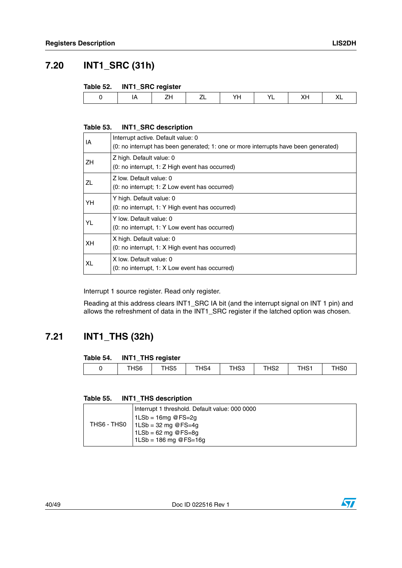### <span id="page-39-0"></span>**7.20 INT1\_SRC (31h)**

#### <span id="page-39-2"></span>**Table 52. INT1\_SRC register**

| ∼<br><br>$-$<br>$\sim$ |  | . . |  |  |  |
|------------------------|--|-----|--|--|--|
|                        |  |     |  |  |  |

#### <span id="page-39-3"></span>**Table 53. INT1\_SRC description**

| IA  | Interrupt active. Default value: 0<br>(0: no interrupt has been generated; 1: one or more interrupts have been generated) |
|-----|---------------------------------------------------------------------------------------------------------------------------|
| ZH. | Z high. Default value: 0<br>(0: no interrupt, 1: Z High event has occurred)                                               |
| ZL  | Z low. Default value: 0<br>$(0:$ no interrupt; 1: Z Low event has occurred)                                               |
| YH  | Y high. Default value: 0<br>(0: no interrupt, 1: Y High event has occurred)                                               |
| YL  | Y low. Default value: 0<br>(0: no interrupt, 1: Y Low event has occurred)                                                 |
| XH. | X high. Default value: 0<br>(0: no interrupt, 1: X High event has occurred)                                               |
| XL  | X low. Default value: 0<br>$(0:$ no interrupt, 1: X Low event has occurred)                                               |

Interrupt 1 source register. Read only register.

Reading at this address clears INT1\_SRC IA bit (and the interrupt signal on INT 1 pin) and allows the refreshment of data in the INT1\_SRC register if the latched option was chosen.

### <span id="page-39-1"></span>**7.21 INT1\_THS (32h)**

#### <span id="page-39-4"></span>**Table 54. INT1\_THS register**

| THS <sub>6</sub> | $\overline{5}$ | T1101<br>H54 | THS3 | ⊿er<br>∠כר | T1104<br>ו כחו | T110c<br>. HSO |
|------------------|----------------|--------------|------|------------|----------------|----------------|
|                  |                |              |      |            |                |                |

#### <span id="page-39-5"></span>**Table 55. INT1\_THS description**

| Interrupt 1 threshold. Default value: 000 0000<br>$1LSb = 16mg$ @ FS=2g<br>THS6 - THS0   $1LSb = 32$ mg @ FS=4g<br>$1LSb = 62$ mg @FS=8g |
|------------------------------------------------------------------------------------------------------------------------------------------|
| $1LSb = 186$ mg @FS=16g                                                                                                                  |

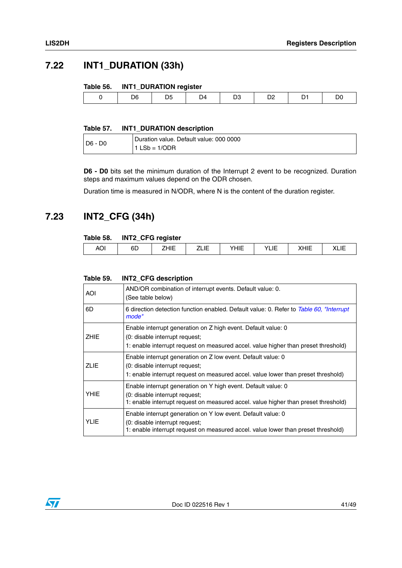### <span id="page-40-0"></span>**7.22 INT1\_DURATION (33h)**

#### <span id="page-40-2"></span>**Table 56. INT1\_DURATION register**

| ገศ<br>14<br>J۲<br>◡<br>◡<br>$-$ |
|---------------------------------|
|---------------------------------|

#### <span id="page-40-3"></span>**Table 57. INT1\_DURATION description**

| $ D6 - D0$ | Duration value. Default value: 000 0000 |
|------------|-----------------------------------------|
|            | $1$ LSb = 1/ODR                         |

**D6 - D0** bits set the minimum duration of the Interrupt 2 event to be recognized. Duration steps and maximum values depend on the ODR chosen.

Duration time is measured in N/ODR, where N is the content of the duration register.

### <span id="page-40-1"></span>**7.23 INT2\_CFG (34h)**

#### <span id="page-40-4"></span>**Table 58. INT2\_CFG register**

|                               |          | ---                        |                                  |                 |       |            |             |
|-------------------------------|----------|----------------------------|----------------------------------|-----------------|-------|------------|-------------|
| $\sim$<br>$\mathbf{v}$<br>ושה | бL<br>-- | $\cdots$<br>_<br>.<br>____ | $\overline{\phantom{0}}$<br>---- | $\cdots$<br>--- | — I — | .<br>∖⊟ ⊔∟ | . .<br>◝◣▮◣ |
|                               |          |                            |                                  |                 |       |            |             |

#### <span id="page-40-5"></span>**Table 59. INT2\_CFG description**

| AOI.        | AND/OR combination of interrupt events. Default value: 0.<br>(See table below)                                                                                                        |
|-------------|---------------------------------------------------------------------------------------------------------------------------------------------------------------------------------------|
| 6D          | 6 direction detection function enabled. Default value: 0. Refer to Table 60, "Interrupt<br>mode"                                                                                      |
| <b>ZHIE</b> | Enable interrupt generation on Z high event. Default value: 0<br>(0: disable interrupt request;<br>1: enable interrupt request on measured accel. value higher than preset threshold) |
| <b>ZLIE</b> | Enable interrupt generation on Z low event. Default value: 0<br>(0: disable interrupt request;<br>1: enable interrupt request on measured accel. value lower than preset threshold)   |
| <b>YHIE</b> | Enable interrupt generation on Y high event. Default value: 0<br>(0: disable interrupt request;<br>1: enable interrupt request on measured accel. value higher than preset threshold) |
| <b>YLIE</b> | Enable interrupt generation on Y low event. Default value: 0<br>(0: disable interrupt request;<br>1: enable interrupt request on measured accel. value lower than preset threshold)   |

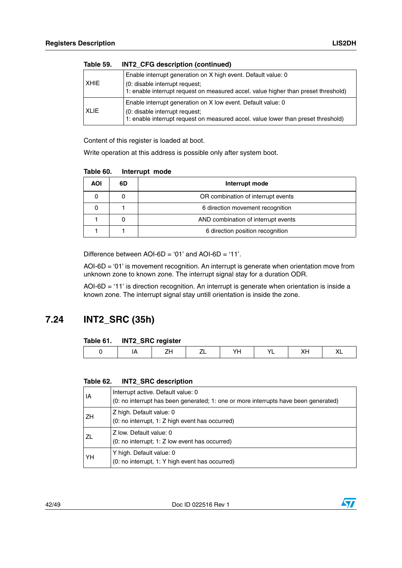| Table 59.   | INTZ CFG description (continued)                                                                                                                                                      |
|-------------|---------------------------------------------------------------------------------------------------------------------------------------------------------------------------------------|
| <b>XHIE</b> | Enable interrupt generation on X high event. Default value: 0<br>(0: disable interrupt request;<br>1: enable interrupt request on measured accel. value higher than preset threshold) |
| <b>XLIE</b> | Enable interrupt generation on X low event. Default value: 0<br>(0: disable interrupt request;<br>1: enable interrupt request on measured accel. value lower than preset threshold)   |

**Table 59. INT2\_CFG description (continued)**

Content of this register is loaded at boot.

Write operation at this address is possible only after system boot.

<span id="page-41-1"></span>

| Table 60. | Interrupt mode |  |
|-----------|----------------|--|
|           |                |  |

| AOI | 6D | Interrupt mode                      |
|-----|----|-------------------------------------|
|     |    | OR combination of interrupt events  |
|     |    | 6 direction movement recognition    |
|     |    | AND combination of interrupt events |
|     |    | 6 direction position recognition    |

Difference between AOI-6D = '01' and AOI-6D = '11'.

AOI-6D = '01' is movement recognition. An interrupt is generate when orientation move from unknown zone to known zone. The interrupt signal stay for a duration ODR.

AOI-6D = '11' is direction recognition. An interrupt is generate when orientation is inside a known zone. The interrupt signal stay untill orientation is inside the zone.

### <span id="page-41-0"></span>**7.24 INT2\_SRC (35h)**

#### <span id="page-41-2"></span>**Table 61. INT2\_SRC register**

#### <span id="page-41-3"></span>**Table 62. INT2\_SRC description**

| l IA | Interrupt active. Default value: 0<br>(0: no interrupt has been generated; 1: one or more interrupts have been generated) |
|------|---------------------------------------------------------------------------------------------------------------------------|
| l ZH | Z high. Default value: 0<br>(0: no interrupt, 1: Z high event has occurred)                                               |
| I ZL | Z low. Default value: 0<br>(0: no interrupt; 1: Z low event has occurred)                                                 |
| YH   | Y high. Default value: 0<br>(0: no interrupt, 1: Y high event has occurred)                                               |

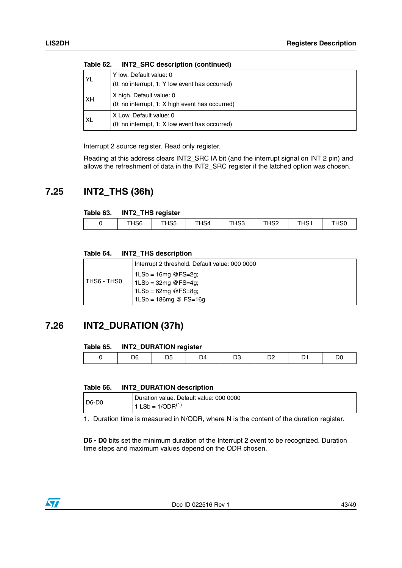| <b>YL</b> | Y low. Default value: 0<br>(0: no interrupt, 1: Y low event has occurred)   |
|-----------|-----------------------------------------------------------------------------|
| <b>XH</b> | X high. Default value: 0<br>(0: no interrupt, 1: X high event has occurred) |
| <b>XL</b> | X Low. Default value: 0<br>(0: no interrupt, 1: X low event has occurred)   |

**Table 62. INT2\_SRC description (continued)**

Interrupt 2 source register. Read only register.

Reading at this address clears INT2\_SRC IA bit (and the interrupt signal on INT 2 pin) and allows the refreshment of data in the INT2\_SRC register if the latched option was chosen.

### <span id="page-42-0"></span>**7.25 INT2\_THS (36h)**

#### <span id="page-42-2"></span>**Table 63. INT2\_THS register**

| _______ |                    |                 |      |                        |               |                  |
|---------|--------------------|-----------------|------|------------------------|---------------|------------------|
| HS6     | <b>TUOF</b><br>HS5 | $\sim$<br>. HS4 | THS3 | 10 <sub>0</sub><br>∠כר | T104<br>ו החי | $\sim$<br>' HSL' |
|         |                    |                 |      |                        |               |                  |

#### <span id="page-42-3"></span>**Table 64. INT2\_THS description**

|               | Interrupt 2 threshold. Default value: 000 0000 |
|---------------|------------------------------------------------|
|               | 1LSb = 16mg @FS=2g;                            |
| I THS6 - THS0 | $1LSb = 32mg$ @ FS=4g;                         |
|               | $1LSb = 62mg$ @ FS=8g;                         |
|               | $1LSb = 186mg @ FS=16g$                        |

### <span id="page-42-1"></span>**7.26 INT2\_DURATION (37h)**

#### <span id="page-42-4"></span>**Table 65. INT2\_DURATION register**

| າລ | ΙZ |  |  |
|----|----|--|--|
|    |    |  |  |

#### <span id="page-42-5"></span>**Table 66. INT2\_DURATION description**

| $D6-D0$ | Duration value. Default value: 000 0000 |
|---------|-----------------------------------------|
|         | 1 LSb = $1/ODR^{(1)}$                   |

1. Duration time is measured in N/ODR, where N is the content of the duration register.

**D6 - D0** bits set the minimum duration of the Interrupt 2 event to be recognized. Duration time steps and maximum values depend on the ODR chosen.

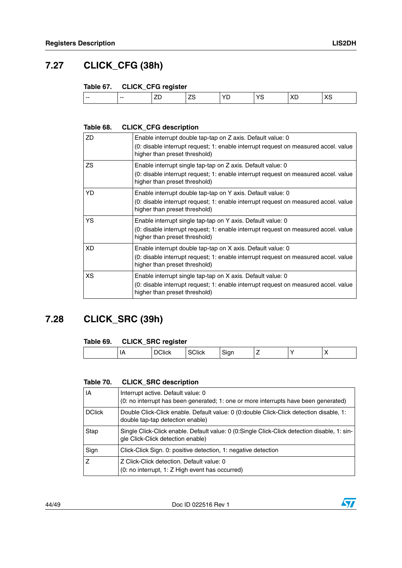### <span id="page-43-0"></span>**7.27 CLICK\_CFG (38h)**

#### <span id="page-43-2"></span>**Table 67. CLICK\_CFG register**

| $- -$<br>---<br>--<br>— |  |
|-------------------------|--|
|-------------------------|--|

#### <span id="page-43-3"></span>**Table 68. CLICK\_CFG description**

| ZD  | Enable interrupt double tap-tap on Z axis. Default value: 0<br>(0: disable interrupt request; 1: enable interrupt request on measured accel. value<br>higher than preset threshold) |
|-----|-------------------------------------------------------------------------------------------------------------------------------------------------------------------------------------|
| ZS. | Enable interrupt single tap-tap on Z axis. Default value: 0<br>(0: disable interrupt request; 1: enable interrupt request on measured accel. value<br>higher than preset threshold) |
| YD. | Enable interrupt double tap-tap on Y axis. Default value: 0<br>(0: disable interrupt request; 1: enable interrupt request on measured accel. value<br>higher than preset threshold) |
| YS. | Enable interrupt single tap-tap on Y axis. Default value: 0<br>(0: disable interrupt request; 1: enable interrupt request on measured accel. value<br>higher than preset threshold) |
| XD  | Enable interrupt double tap-tap on X axis. Default value: 0<br>(0: disable interrupt request; 1: enable interrupt request on measured accel. value<br>higher than preset threshold) |
| XS. | Enable interrupt single tap-tap on X axis. Default value: 0<br>(0: disable interrupt request; 1: enable interrupt request on measured accel. value<br>higher than preset threshold) |

### <span id="page-43-1"></span>**7.28 CLICK\_SRC (39h)**

#### <span id="page-43-4"></span>**Table 69. CLICK\_SRC register**

| .<br>и<br>ш<br>.<br>.<br>v<br>.<br><br>$\sim$ $\sim$<br>. . |  | __ |  |  |  |
|-------------------------------------------------------------|--|----|--|--|--|
|                                                             |  |    |  |  |  |

#### <span id="page-43-5"></span>**Table 70. CLICK\_SRC description**

| IA            | Interrupt active. Default value: 0<br>(0: no interrupt has been generated; 1: one or more interrupts have been generated)         |
|---------------|-----------------------------------------------------------------------------------------------------------------------------------|
| <b>DClick</b> | Double Click-Click enable. Default value: 0 (0:double Click-Click detection disable, 1:<br>double tap-tap detection enable)       |
| Stap          | Single Click-Click enable. Default value: 0 (0:Single Click-Click detection disable, 1: sin-<br>gle Click-Click detection enable) |
| Sign          | Click-Click Sign. 0: positive detection, 1: negative detection                                                                    |
| Z             | Z Click-Click detection. Default value: 0<br>(0: no interrupt, 1: Z High event has occurred)                                      |

44/49 Doc ID 022516 Rev 1

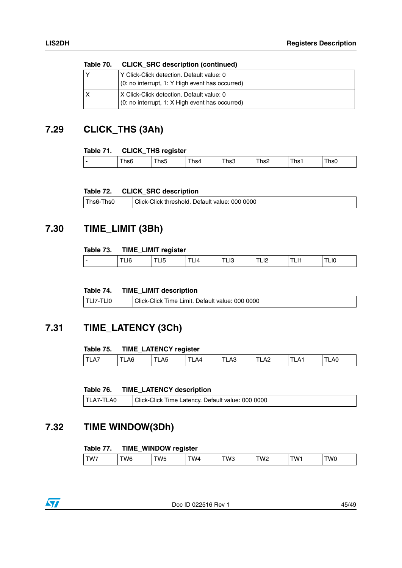| Table 70. | <b>CLICK SRC description (continued)</b>                                                     |
|-----------|----------------------------------------------------------------------------------------------|
|           | Y Click-Click detection. Default value: 0<br>(0: no interrupt, 1: Y High event has occurred) |
|           | X Click-Click detection. Default value: 0<br>(0: no interrupt, 1: X High event has occurred) |

# <span id="page-44-0"></span>**7.29 CLICK\_THS (3Ah)**

#### <span id="page-44-4"></span>**Table 71. CLICK\_THS register**

| Ths2<br>، hs0<br>∣hs1<br><br>hs3<br>ns⊿<br>. NS5<br>. .<br>. 150 |  |
|------------------------------------------------------------------|--|

#### <span id="page-44-5"></span>**Table 72. CLICK\_SRC description**

| Ths6-<br>-hs0 | Click-Click threshold. Default value: 000 0000 |
|---------------|------------------------------------------------|
|---------------|------------------------------------------------|

### <span id="page-44-1"></span>**7.30 TIME\_LIMIT (3Bh)**

#### <span id="page-44-6"></span>**Table 73. TIME\_LIMIT register**

| . .<br>. LIO<br>$\overline{1}$<br>14<br>טו∟ו<br>--<br>−™<br>∸<br>$-1$<br>--<br>$\cdot$ $ \cdot$<br>$-$<br>____ |   |  |  |  |  |
|----------------------------------------------------------------------------------------------------------------|---|--|--|--|--|
|                                                                                                                | - |  |  |  |  |

#### <span id="page-44-7"></span>**Table 74. TIME\_LIMIT description**

| TLI7-TLI0 | Click-Click Time Limit. Default value: 000 0000 |
|-----------|-------------------------------------------------|
|-----------|-------------------------------------------------|

### <span id="page-44-2"></span>**7.31 TIME\_LATENCY (3Ch)**

#### <span id="page-44-8"></span>**Table 75. TIME\_LATENCY register**

|                           | __  |                 |               |      |   |                   |     |
|---------------------------|-----|-----------------|---------------|------|---|-------------------|-----|
| $\Lambda^-$<br> T <br>- - | LA6 | LA <sub>5</sub> | AД<br>--<br>— | ัLA3 | ⊷ | ∸∆_<br>. <u>.</u> | LAU |

#### <span id="page-44-9"></span>**Table 76. TIME\_LATENCY description**

| TLA7-TLA0 | Click-Click Time Latency. Default value: 000 0000 |
|-----------|---------------------------------------------------|
|-----------|---------------------------------------------------|

### <span id="page-44-3"></span>**7.32 TIME WINDOW(3Dh)**

#### <span id="page-44-10"></span>**Table 77. TIME\_WINDOW register**

| $\cdots$<br>W2<br>гwз<br>$\cdots$<br>TW6<br>TW7<br>TW.<br>TW4.<br>'W0<br><b>WF</b><br>. V J |
|---------------------------------------------------------------------------------------------|
|---------------------------------------------------------------------------------------------|



Doc ID 022516 Rev 1 45/49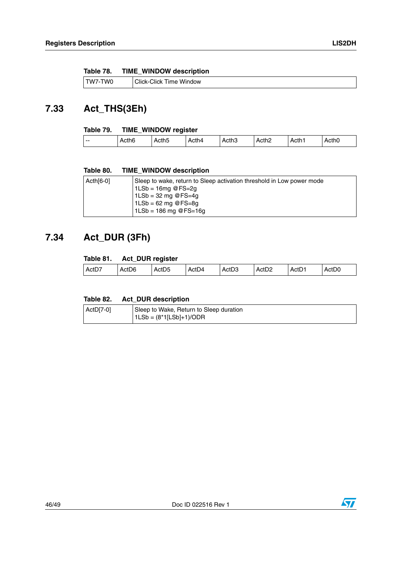<span id="page-45-2"></span>

| Table 78. |  | <b>TIME_WINDOW description</b> |
|-----------|--|--------------------------------|
|           |  |                                |

| .TW/<br>w | Window<br>∵Click-<br><b>Click</b><br>ıme |
|-----------|------------------------------------------|
|-----------|------------------------------------------|

## <span id="page-45-0"></span>**7.33 Act\_THS(3Eh)**

#### <span id="page-45-3"></span>**Table 79. TIME\_WINDOW register**

| $\cdots$<br>Acth <sub>2</sub><br>Acth4<br>Acth <sub>1</sub><br>Acth <sub>0</sub><br>Acth3<br>Acth5<br>Acth6<br>$- -$ |  |  |  |  |  |  |  |  |  |
|----------------------------------------------------------------------------------------------------------------------|--|--|--|--|--|--|--|--|--|
|----------------------------------------------------------------------------------------------------------------------|--|--|--|--|--|--|--|--|--|

#### <span id="page-45-4"></span>**Table 80. TIME\_WINDOW description**

| $Acth[6-0]$ | Sleep to wake, return to Sleep activation threshold in Low power mode<br>$1LSb = 16mg$ @FS=2g<br>1LSb = 32 mg @FS=4g<br>1LSb = 62 mg @FS=8g<br>$1LSb = 186$ mg @FS=16g |
|-------------|------------------------------------------------------------------------------------------------------------------------------------------------------------------------|
|             |                                                                                                                                                                        |

### <span id="page-45-1"></span>**7.34 Act\_DUR (3Fh)**

#### <span id="page-45-5"></span>**Table 81. Act\_DUR register**

|                   | __                |                   |       |                   |                   |                   |                                               |
|-------------------|-------------------|-------------------|-------|-------------------|-------------------|-------------------|-----------------------------------------------|
| Act <sub>D7</sub> | Act <sub>D6</sub> | ActD <sub>5</sub> | ActD4 | Act <sub>D3</sub> | Act <sub>D2</sub> | ActD <sup>-</sup> | $\overline{\phantom{a}}$<br>ActD <sub>0</sub> |
|                   |                   |                   |       |                   |                   |                   |                                               |

#### <span id="page-45-6"></span>**Table 82. Act\_DUR description**

| ActD[7-0] | Sleep to Wake, Return to Sleep duration |
|-----------|-----------------------------------------|
|           | $1LSb = (8*1[LSb]+1)/ODR$               |

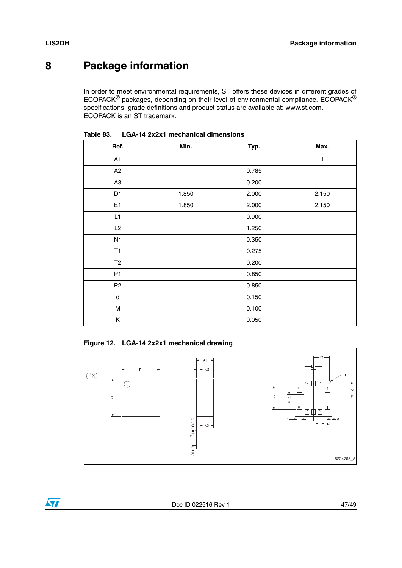# <span id="page-46-0"></span>**8 Package information**

In order to meet environmental requirements, ST offers these devices in different grades of ECOPACK® packages, depending on their level of environmental compliance. ECOPACK® specifications, grade definitions and product status are available at: www.st.com. ECOPACK is an ST trademark.

| Ref.           | Min.  | Typ.  | Max.  |
|----------------|-------|-------|-------|
| A1             |       |       | 1     |
| A2             |       | 0.785 |       |
| A <sub>3</sub> |       | 0.200 |       |
| D <sub>1</sub> | 1.850 | 2.000 | 2.150 |
| E <sub>1</sub> | 1.850 | 2.000 | 2.150 |
| L1             |       | 0.900 |       |
| L2             |       | 1.250 |       |
| N1             |       | 0.350 |       |
| <b>T1</b>      |       | 0.275 |       |
| T <sub>2</sub> |       | 0.200 |       |
| P <sub>1</sub> |       | 0.850 |       |
| P <sub>2</sub> |       | 0.850 |       |
| d              |       | 0.150 |       |
| M              |       | 0.100 |       |
| Κ              |       | 0.050 |       |

<span id="page-46-1"></span>**Table 83. LGA-14 2x2x1 mechanical dimensions**

<span id="page-46-2"></span>

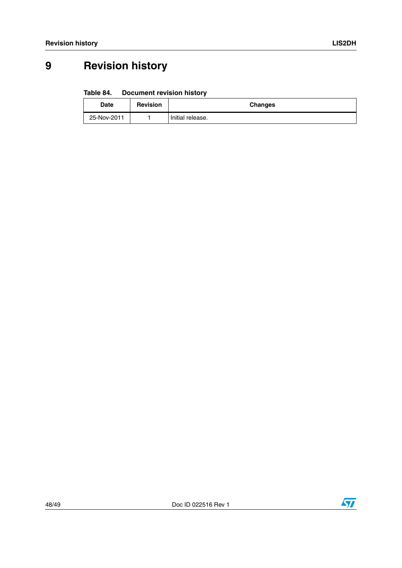# <span id="page-47-0"></span>**9 Revision history**

#### <span id="page-47-1"></span>Table 84. **Document revision history**

| Date        | <b>Revision</b> | <b>Changes</b>   |
|-------------|-----------------|------------------|
| 25-Nov-2011 |                 | Initial release. |